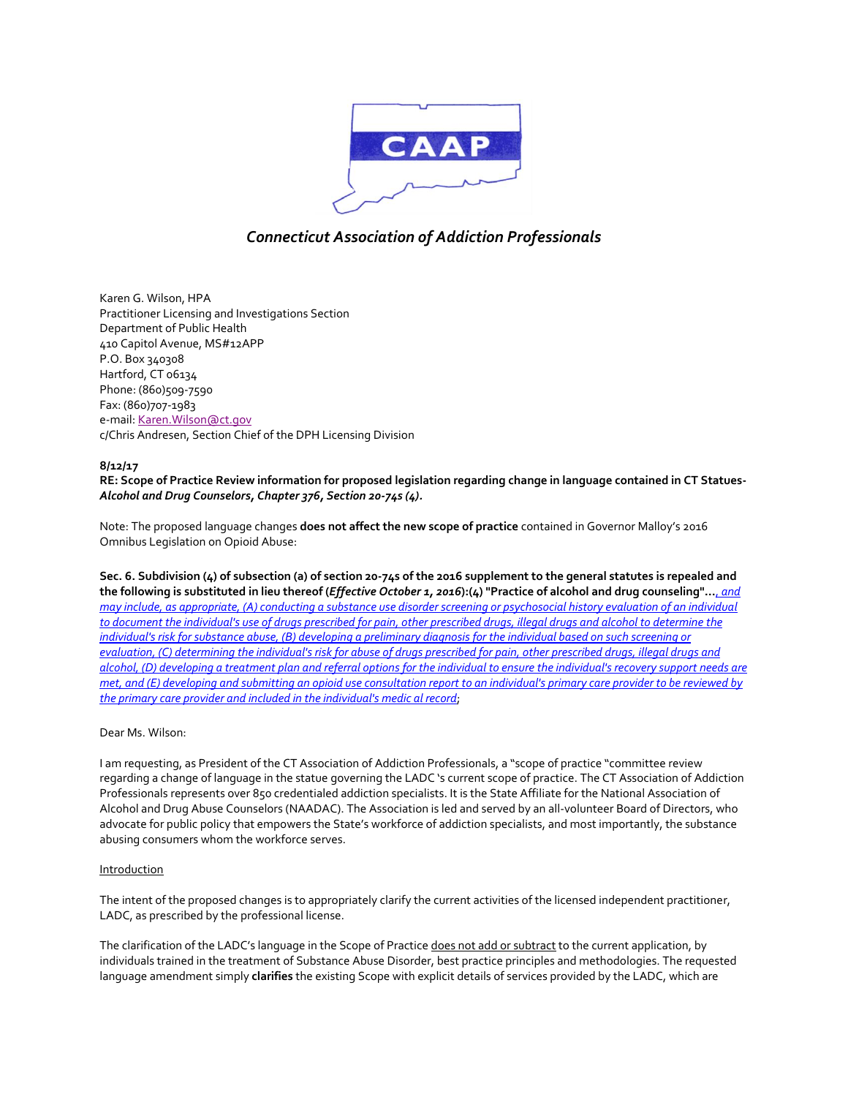

### *Connecticut Association of Addiction Professionals*

Karen G. Wilson, HPA Practitioner Licensing and Investigations Section Department of Public Health 410 Capitol Avenue, MS#12APP P.O. Box 340308 Hartford, CT 06134 Phone: (860)509-7590 Fax: (860)707-1983 e-mail: Karen. Wilson@ct.gov c/Chris Andresen, Section Chief of the DPH Licensing Division

### **8/12/17**

**RE: Scope of Practice Review information for proposed legislation regarding change in language contained in CT Statues-***Alcohol and Drug Counselors, Chapter 376, Section 20-74s (4).*

Note: The proposed language changes **does not affect the new scope of practice** contained in Governor Malloy's 2016 Omnibus Legislation on Opioid Abuse:

**Sec. 6. Subdivision (4) of subsection (a) of section 20-74s of the 2016 supplement to the general statutes is repealed and the following is substituted in lieu thereof (***Effective October 1, 2016***):(4) "Practice of alcohol and drug counseling"…**, *and may include, as appropriate, (A) conducting a substance use disorder screening or psychosocial history evaluation of an individual to document the individual's use of drugs prescribed for pain, other prescribed drugs, illegal drugs and alcohol to determine the individual's risk for substance abuse, (B) developing a preliminary diagnosis for the individual based on such screening or evaluation, (C) determining the individual's risk for abuse of drugs prescribed for pain, other prescribed drugs, illegal drugs and alcohol, (D) developing a treatment plan and referral options for the individual to ensure the individual's recovery support needs are met, and (E) developing and submitting an opioid use consultation report to an individual's primary care provider to be reviewed by the primary care provider and included in the individual's medic al record*;

### Dear Ms. Wilson:

I am requesting, as President of the CT Association of Addiction Professionals, a "scope of practice "committee review regarding a change of language in the statue governing the LADC 's current scope of practice. The CT Association of Addiction Professionals represents over 850 credentialed addiction specialists. It is the State Affiliate for the National Association of Alcohol and Drug Abuse Counselors (NAADAC). The Association is led and served by an all-volunteer Board of Directors, who advocate for public policy that empowers the State's workforce of addiction specialists, and most importantly, the substance abusing consumers whom the workforce serves.

#### Introduction

The intent of the proposed changes is to appropriately clarify the current activities of the licensed independent practitioner, LADC, as prescribed by the professional license.

The clarification of the LADC's language in the Scope of Practice does not add or subtract to the current application, by individuals trained in the treatment of Substance Abuse Disorder, best practice principles and methodologies. The requested language amendment simply **clarifies** the existing Scope with explicit details of services provided by the LADC, which are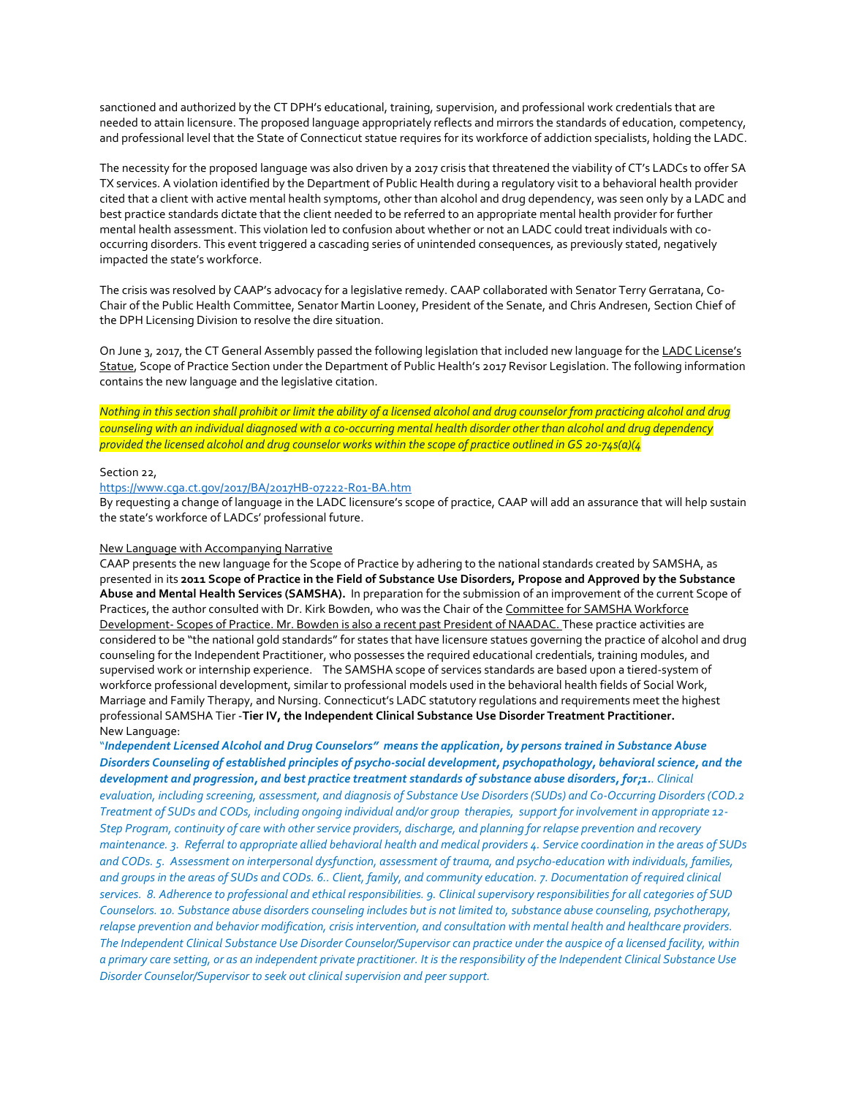sanctioned and authorized by the CT DPH's educational, training, supervision, and professional work credentials that are needed to attain licensure. The proposed language appropriately reflects and mirrors the standards of education, competency, and professional level that the State of Connecticut statue requires for its workforce of addiction specialists, holding the LADC.

The necessity for the proposed language was also driven by a 2017 crisis that threatened the viability of CT's LADCs to offer SA TX services. A violation identified by the Department of Public Health during a regulatory visit to a behavioral health provider cited that a client with active mental health symptoms, other than alcohol and drug dependency, was seen only by a LADC and best practice standards dictate that the client needed to be referred to an appropriate mental health provider for further mental health assessment. This violation led to confusion about whether or not an LADC could treat individuals with cooccurring disorders. This event triggered a cascading series of unintended consequences, as previously stated, negatively impacted the state's workforce.

The crisis was resolved by CAAP's advocacy for a legislative remedy. CAAP collaborated with Senator Terry Gerratana, Co-Chair of the Public Health Committee, Senator Martin Looney, President of the Senate, and Chris Andresen, Section Chief of the DPH Licensing Division to resolve the dire situation.

On June 3, 2017, the CT General Assembly passed the following legislation that included new language for the LADC License's Statue, Scope of Practice Section under the Department of Public Health's 2017 Revisor Legislation. The following information contains the new language and the legislative citation.

### *Nothing in this section shall prohibit or limit the ability of a licensed alcohol and drug counselor from practicing alcohol and drug counseling with an individual diagnosed with a co-occurring mental health disorder other than alcohol and drug dependency provided the licensed alcohol and drug counselor works within the scope of practice outlined in GS 20-74s(a)(4*

### Section 22,

### <https://www.cga.ct.gov/2017/BA/2017HB-07222-R01-BA.htm>

By requesting a change of language in the LADC licensure's scope of practice, CAAP will add an assurance that will help sustain the state's workforce of LADCs' professional future.

#### New Language with Accompanying Narrative

CAAP presents the new language for the Scope of Practice by adhering to the national standards created by SAMSHA, as presented in its **2011 Scope of Practice in the Field of Substance Use Disorders, Propose and Approved by the Substance Abuse and Mental Health Services (SAMSHA).** In preparation for the submission of an improvement of the current Scope of Practices, the author consulted with Dr. Kirk Bowden, who was the Chair of the Committee for SAMSHA Workforce Development- Scopes of Practice. Mr. Bowden is also a recent past President of NAADAC. These practice activities are considered to be "the national gold standards" for states that have licensure statues governing the practice of alcohol and drug counseling for the Independent Practitioner, who possesses the required educational credentials, training modules, and supervised work or internship experience. The SAMSHA scope of services standards are based upon a tiered-system of workforce professional development, similar to professional models used in the behavioral health fields of Social Work, Marriage and Family Therapy, and Nursing. Connecticut's LADC statutory regulations and requirements meet the highest professional SAMSHA Tier -**Tier IV, the Independent Clinical Substance Use Disorder Treatment Practitioner.** New Language:

"*Independent Licensed Alcohol and Drug Counselors" means the application, by persons trained in Substance Abuse Disorders Counseling of established principles of psycho-social development, psychopathology, behavioral science, and the development and progression, and best practice treatment standards of substance abuse disorders, for;1.. Clinical evaluation, including screening, assessment, and diagnosis of Substance Use Disorders (SUDs) and Co-Occurring Disorders (COD.2 Treatment of SUDs and CODs, including ongoing individual and/or group therapies, support for involvement in appropriate 12- Step Program, continuity of care with other service providers, discharge, and planning for relapse prevention and recovery maintenance. 3. Referral to appropriate allied behavioral health and medical providers 4. Service coordination in the areas of SUDs and CODs. 5. Assessment on interpersonal dysfunction, assessment of trauma, and psycho-education with individuals, families, and groups in the areas of SUDs and CODs. 6.. Client, family, and community education. 7. Documentation of required clinical services. 8. Adherence to professional and ethical responsibilities. 9. Clinical supervisory responsibilities for all categories of SUD Counselors. 10. Substance abuse disorders counseling includes but is not limited to, substance abuse counseling, psychotherapy, relapse prevention and behavior modification, crisis intervention, and consultation with mental health and healthcare providers. The Independent Clinical Substance Use Disorder Counselor/Supervisor can practice under the auspice of a licensed facility, within a primary care setting, or as an independent private practitioner. It is the responsibility of the Independent Clinical Substance Use Disorder Counselor/Supervisor to seek out clinical supervision and peer support.*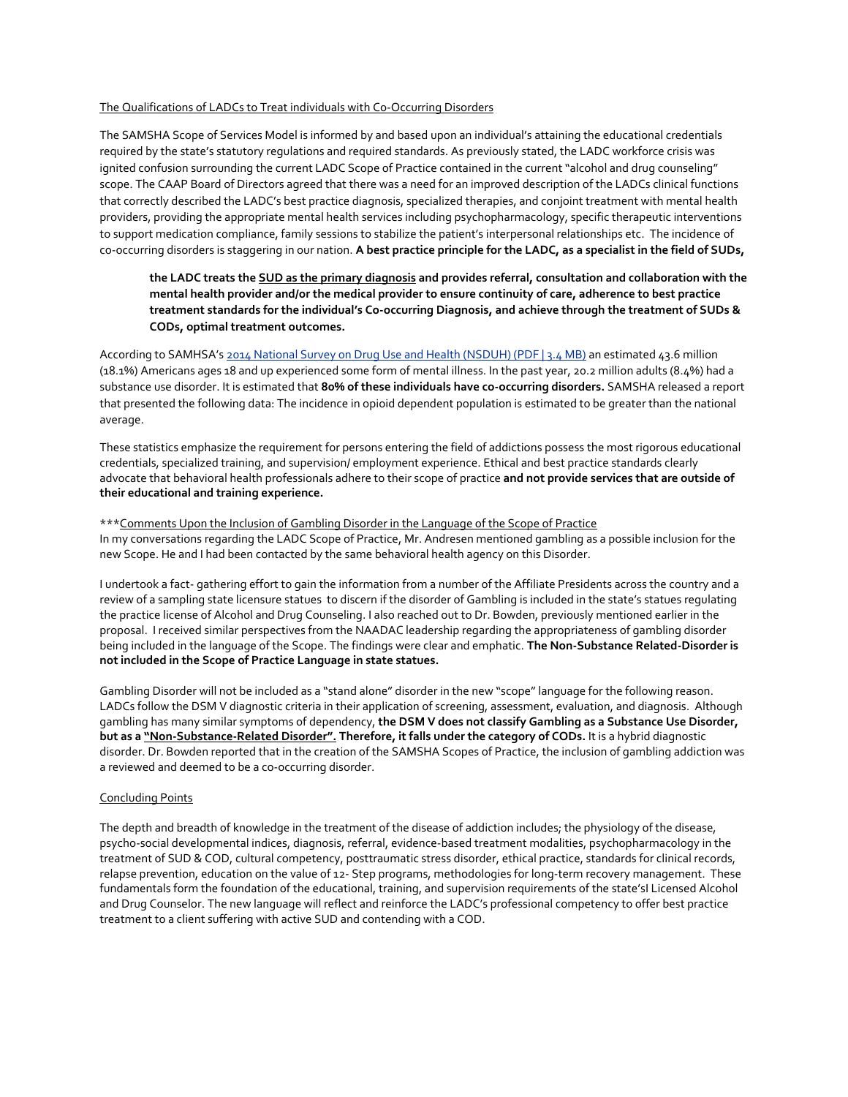### The Qualifications of LADCs to Treat individuals with Co-Occurring Disorders

The SAMSHA Scope of Services Model is informed by and based upon an individual's attaining the educational credentials required by the state's statutory regulations and required standards. As previously stated, the LADC workforce crisis was ignited confusion surrounding the current LADC Scope of Practice contained in the current "alcohol and drug counseling" scope. The CAAP Board of Directors agreed that there was a need for an improved description of the LADCs clinical functions that correctly described the LADC's best practice diagnosis, specialized therapies, and conjoint treatment with mental health providers, providing the appropriate mental health services including psychopharmacology, specific therapeutic interventions to support medication compliance, family sessions to stabilize the patient's interpersonal relationships etc. The incidence of co-occurring disorders is staggering in our nation. **A best practice principle for the LADC, as a specialist in the field of SUDs,**

### **the LADC treats the SUD as the primary diagnosis and provides referral, consultation and collaboration with the mental health provider and/or the medical provider to ensure continuity of care, adherence to best practice treatment standards for the individual's Co-occurring Diagnosis, and achieve through the treatment of SUDs & CODs, optimal treatment outcomes.**

According to SAMHSA's [2014 National Survey on Drug Use and Health \(NSDUH\) \(PDF | 3.4 MB\)](https://www.samhsa.gov/data/sites/default/files/NSDUH-FRR1-2014/NSDUH-FRR1-2014.pdf) an estimated 43.6 million (18.1%) Americans ages 18 and up experienced some form of mental illness. In the past year, 20.2 million adults (8.4%) had a substance use disorder. It is estimated that **80% of these individuals have co-occurring disorders.** SAMSHA released a report that presented the following data: The incidence in opioid dependent population is estimated to be greater than the national average.

These statistics emphasize the requirement for persons entering the field of addictions possess the most rigorous educational credentials, specialized training, and supervision/ employment experience. Ethical and best practice standards clearly advocate that behavioral health professionals adhere to their scope of practice **and not provide services that are outside of their educational and training experience.**

#### \*\*\*Comments Upon the Inclusion of Gambling Disorder in the Language of the Scope of Practice

In my conversations regarding the LADC Scope of Practice, Mr. Andresen mentioned gambling as a possible inclusion for the new Scope. He and I had been contacted by the same behavioral health agency on this Disorder.

I undertook a fact- gathering effort to gain the information from a number of the Affiliate Presidents across the country and a review of a sampling state licensure statues to discern if the disorder of Gambling is included in the state's statues regulating the practice license of Alcohol and Drug Counseling. I also reached out to Dr. Bowden, previously mentioned earlier in the proposal. I received similar perspectives from the NAADAC leadership regarding the appropriateness of gambling disorder being included in the language of the Scope. The findings were clear and emphatic. **The Non-Substance Related-Disorder is not included in the Scope of Practice Language in state statues.**

Gambling Disorder will not be included as a "stand alone" disorder in the new "scope" language for the following reason. LADCs follow the DSM V diagnostic criteria in their application of screening, assessment, evaluation, and diagnosis. Although gambling has many similar symptoms of dependency, **the DSM V does not classify Gambling as a Substance Use Disorder, but as a "Non-Substance-Related Disorder". Therefore, it falls under the category of CODs.** It is a hybrid diagnostic disorder. Dr. Bowden reported that in the creation of the SAMSHA Scopes of Practice, the inclusion of gambling addiction was a reviewed and deemed to be a co-occurring disorder.

#### Concluding Points

The depth and breadth of knowledge in the treatment of the disease of addiction includes; the physiology of the disease, psycho-social developmental indices, diagnosis, referral, evidence-based treatment modalities, psychopharmacology in the treatment of SUD & COD, cultural competency, posttraumatic stress disorder, ethical practice, standards for clinical records, relapse prevention, education on the value of 12- Step programs, methodologies for long-term recovery management. These fundamentals form the foundation of the educational, training, and supervision requirements of the state'sI Licensed Alcohol and Drug Counselor. The new language will reflect and reinforce the LADC's professional competency to offer best practice treatment to a client suffering with active SUD and contending with a COD.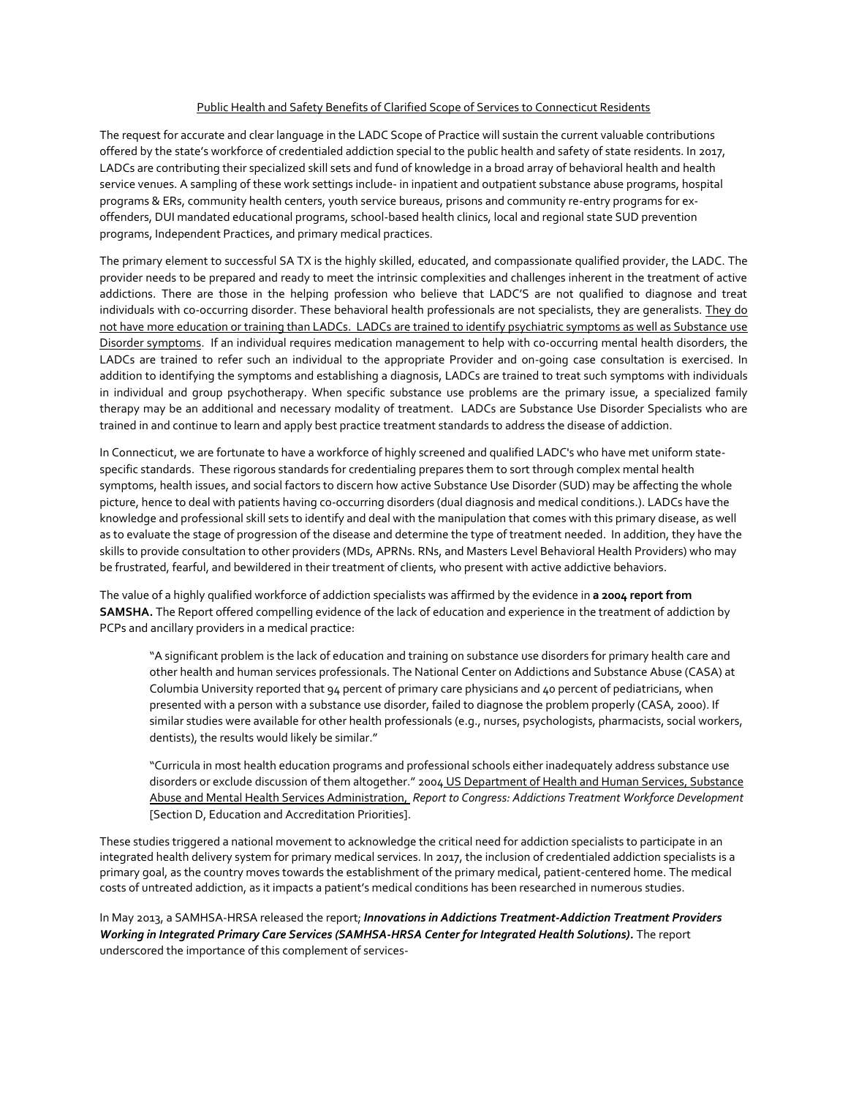### Public Health and Safety Benefits of Clarified Scope of Services to Connecticut Residents

The request for accurate and clear language in the LADC Scope of Practice will sustain the current valuable contributions offered by the state's workforce of credentialed addiction special to the public health and safety of state residents. In 2017, LADCs are contributing their specialized skill sets and fund of knowledge in a broad array of behavioral health and health service venues. A sampling of these work settings include- in inpatient and outpatient substance abuse programs, hospital programs & ERs, community health centers, youth service bureaus, prisons and community re-entry programs for exoffenders, DUI mandated educational programs, school-based health clinics, local and regional state SUD prevention programs, Independent Practices, and primary medical practices.

The primary element to successful SA TX is the highly skilled, educated, and compassionate qualified provider, the LADC. The provider needs to be prepared and ready to meet the intrinsic complexities and challenges inherent in the treatment of active addictions. There are those in the helping profession who believe that LADC'S are not qualified to diagnose and treat individuals with co-occurring disorder. These behavioral health professionals are not specialists, they are generalists. They do not have more education or training than LADCs. LADCs are trained to identify psychiatric symptoms as well as Substance use Disorder symptoms. If an individual requires medication management to help with co-occurring mental health disorders, the LADCs are trained to refer such an individual to the appropriate Provider and on-going case consultation is exercised. In addition to identifying the symptoms and establishing a diagnosis, LADCs are trained to treat such symptoms with individuals in individual and group psychotherapy. When specific substance use problems are the primary issue, a specialized family therapy may be an additional and necessary modality of treatment. LADCs are Substance Use Disorder Specialists who are trained in and continue to learn and apply best practice treatment standards to address the disease of addiction.

In Connecticut, we are fortunate to have a workforce of highly screened and qualified LADC's who have met uniform statespecific standards. These rigorous standards for credentialing prepares them to sort through complex mental health symptoms, health issues, and social factors to discern how active Substance Use Disorder (SUD) may be affecting the whole picture, hence to deal with patients having co-occurring disorders (dual diagnosis and medical conditions.). LADCs have the knowledge and professional skill sets to identify and deal with the manipulation that comes with this primary disease, as well as to evaluate the stage of progression of the disease and determine the type of treatment needed. In addition, they have the skills to provide consultation to other providers (MDs, APRNs. RNs, and Masters Level Behavioral Health Providers) who may be frustrated, fearful, and bewildered in their treatment of clients, who present with active addictive behaviors.

The value of a highly qualified workforce of addiction specialists was affirmed by the evidence in **a 2004 report from SAMSHA.** The Report offered compelling evidence of the lack of education and experience in the treatment of addiction by PCPs and ancillary providers in a medical practice:

"A significant problem is the lack of education and training on substance use disorders for primary health care and other health and human services professionals. The National Center on Addictions and Substance Abuse (CASA) at Columbia University reported that 94 percent of primary care physicians and 40 percent of pediatricians, when presented with a person with a substance use disorder, failed to diagnose the problem properly (CASA, 2000). If similar studies were available for other health professionals (e.g., nurses, psychologists, pharmacists, social workers, dentists), the results would likely be similar."

"Curricula in most health education programs and professional schools either inadequately address substance use disorders or exclude discussion of them altogether." 2004 US Department of Health and Human Services, Substance Abuse and Mental Health Services Administration, *Report to Congress: Addictions Treatment Workforce Development* [Section D, Education and Accreditation Priorities].

These studies triggered a national movement to acknowledge the critical need for addiction specialists to participate in an integrated health delivery system for primary medical services. In 2017, the inclusion of credentialed addiction specialists is a primary goal, as the country moves towards the establishment of the primary medical, patient-centered home. The medical costs of untreated addiction, as it impacts a patient's medical conditions has been researched in numerous studies.

In May 2013, a SAMHSA-HRSA released the report; *Innovations in Addictions Treatment-Addiction Treatment Providers Working in Integrated Primary Care Services (SAMHSA-HRSA Center for Integrated Health Solutions).* The report underscored the importance of this complement of services-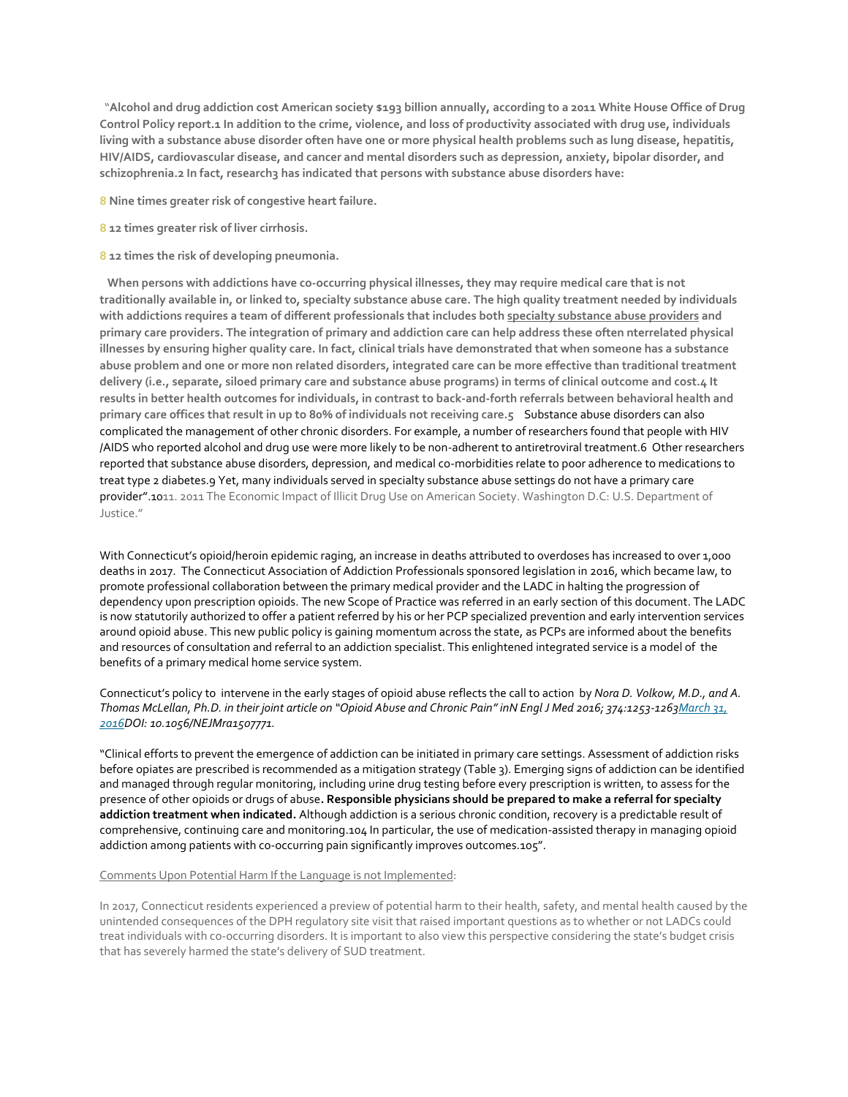"**Alcohol and drug addiction cost American society \$193 billion annually, according to a 2011 White House Office of Drug Control Policy report.1 In addition to the crime, violence, and loss of productivity associated with drug use, individuals living with a substance abuse disorder often have one or more physical health problems such as lung disease, hepatitis, HIV/AIDS, cardiovascular disease, and cancer and mental disorders such as depression, anxiety, bipolar disorder, and schizophrenia.2 In fact, research3 has indicated that persons with substance abuse disorders have:**

**8 Nine times greater risk of congestive heart failure.**

- **8 12 times greater risk of liver cirrhosis.**
- **8 12 times the risk of developing pneumonia.**

 **When persons with addictions have co-occurring physical illnesses, they may require medical care that is not traditionally available in, or linked to, specialty substance abuse care. The high quality treatment needed by individuals with addictions requires a team of different professionals that includes both specialty substance abuse providers and primary care providers. The integration of primary and addiction care can help address these often nterrelated physical illnesses by ensuring higher quality care. In fact, clinical trials have demonstrated that when someone has a substance abuse problem and one or more non related disorders, integrated care can be more effective than traditional treatment delivery (i.e., separate, siloed primary care and substance abuse programs) in terms of clinical outcome and cost.4 It results in better health outcomes for individuals, in contrast to back-and-forth referrals between behavioral health and primary care offices that result in up to 80% of individuals not receiving care.5** Substance abuse disorders can also complicated the management of other chronic disorders. For example, a number of researchers found that people with HIV /AIDS who reported alcohol and drug use were more likely to be non-adherent to antiretroviral treatment.6 Other researchers reported that substance abuse disorders, depression, and medical co-morbidities relate to poor adherence to medications to treat type 2 diabetes.9 Yet, many individuals served in specialty substance abuse settings do not have a primary care provider".1011. 2011 The Economic Impact of Illicit Drug Use on American Society. Washington D.C: U.S. Department of Justice."

With Connecticut's opioid/heroin epidemic raging, an increase in deaths attributed to overdoses has increased to over 1,000 deaths in 2017. The Connecticut Association of Addiction Professionals sponsored legislation in 2016, which became law, to promote professional collaboration between the primary medical provider and the LADC in halting the progression of dependency upon prescription opioids. The new Scope of Practice was referred in an early section of this document. The LADC is now statutorily authorized to offer a patient referred by his or her PCP specialized prevention and early intervention services around opioid abuse. This new public policy is gaining momentum across the state, as PCPs are informed about the benefits and resources of consultation and referral to an addiction specialist. This enlightened integrated service is a model of the benefits of a primary medical home service system.

Connecticut's policy to intervene in the early stages of opioid abuse reflects the call to action by *Nora D. Volkow, M.D., and A. Thomas McLellan, Ph.D. in their joint article on "Opioid Abuse and Chronic Pain" inN Engl J Med 2016; 374:1253-126[3March](http://www.nejm.org/toc/nejm/374/13/) 31, [2016D](http://www.nejm.org/toc/nejm/374/13/)OI: 10.1056/NEJMra1507771.*

"Clinical efforts to prevent the emergence of addiction can be initiated in primary care settings. Assessment of addiction risks before opiates are prescribed is recommended as a mitigation strategy [\(Table](http://www.nejm.org/doi/full/10.1056/NEJMra1507771#iid=t03) 3). Emerging signs of addiction can be identified and managed through regular monitoring, including urine drug testing before every prescription is written, to assess for the presence of other opioids or drugs of abuse**. Responsible physicians should be prepared to make a referral for specialty addiction treatment when indicated.** Although addiction is a serious chronic condition, recovery is a predictable result of comprehensive, continuing care and monitoring[.104](http://www.nejm.org/doi/full/10.1056/NEJMra1507771#ref104) In particular, the use of medication-assisted therapy in managing opioid addiction among patients with co-occurring pain significantly improves outcome[s.105](http://www.nejm.org/doi/full/10.1056/NEJMra1507771#ref105)".

#### Comments Upon Potential Harm If the Language is not Implemented:

In 2017, Connecticut residents experienced a preview of potential harm to their health, safety, and mental health caused by the unintended consequences of the DPH regulatory site visit that raised important questions as to whether or not LADCs could treat individuals with co-occurring disorders. It is important to also view this perspective considering the state's budget crisis that has severely harmed the state's delivery of SUD treatment.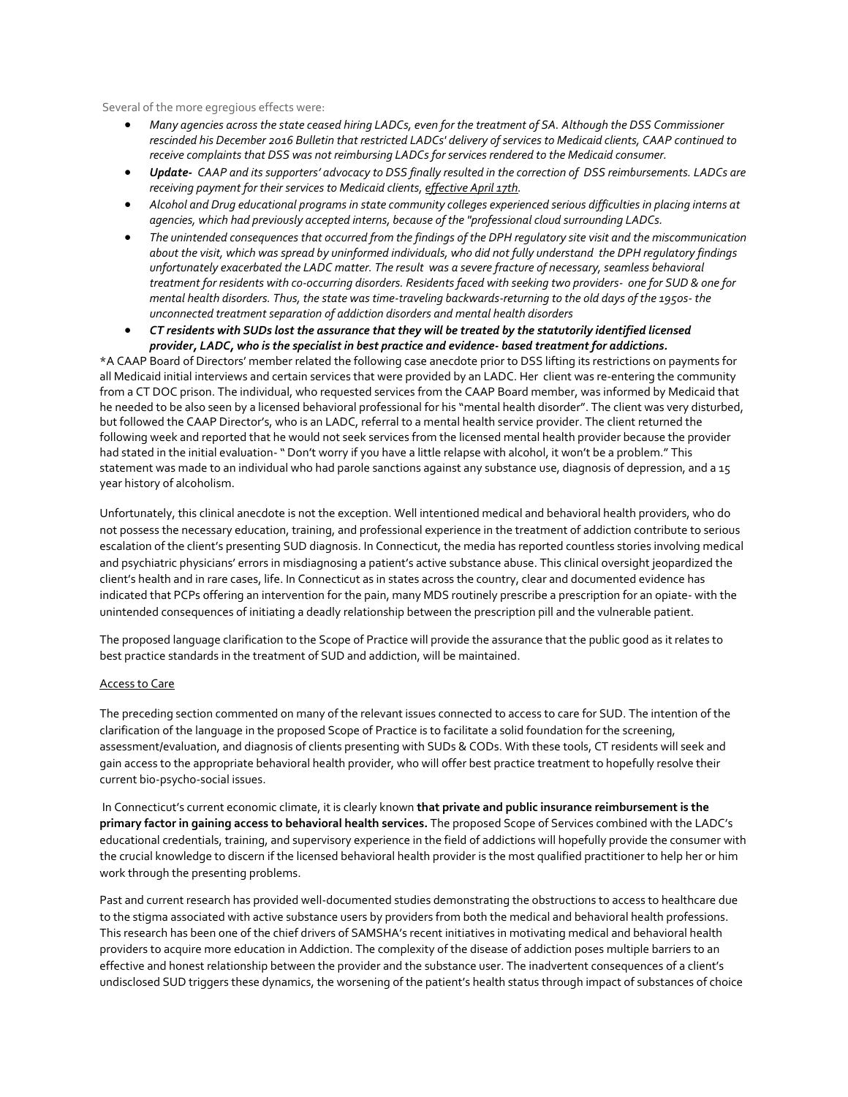Several of the more egregious effects were:

- *Many agencies across the state ceased hiring LADCs, even for the treatment of SA. Although the DSS Commissioner rescinded his December 2016 Bulletin that restricted LADCs' delivery of services to Medicaid clients, CAAP continued to receive complaints that DSS was not reimbursing LADCs for services rendered to the Medicaid consumer.*
- *Update- CAAP and its supporters' advocacy to DSS finally resulted in the correction of DSS reimbursements. LADCs are receiving payment for their services to Medicaid clients, effective April 17th.*
- *Alcohol and Drug educational programs in state community colleges experienced serious difficulties in placing interns at agencies, which had previously accepted interns, because of the "professional cloud surrounding LADCs.*
- *The unintended consequences that occurred from the findings of the DPH regulatory site visit and the miscommunication about the visit, which was spread by uninformed individuals, who did not fully understand the DPH regulatory findings unfortunately exacerbated the LADC matter. The result was a severe fracture of necessary, seamless behavioral treatment for residents with co-occurring disorders. Residents faced with seeking two providers- one for SUD & one for mental health disorders. Thus, the state was time-traveling backwards-returning to the old days of the 1950s- the unconnected treatment separation of addiction disorders and mental health disorders*
- *CT residents with SUDs lost the assurance that they will be treated by the statutorily identified licensed provider, LADC, who is the specialist in best practice and evidence- based treatment for addictions.*

\*A CAAP Board of Directors' member related the following case anecdote prior to DSS lifting its restrictions on payments for all Medicaid initial interviews and certain services that were provided by an LADC. Her client was re-entering the community from a CT DOC prison. The individual, who requested services from the CAAP Board member, was informed by Medicaid that he needed to be also seen by a licensed behavioral professional for his "mental health disorder". The client was very disturbed, but followed the CAAP Director's, who is an LADC, referral to a mental health service provider. The client returned the following week and reported that he would not seek services from the licensed mental health provider because the provider had stated in the initial evaluation- " Don't worry if you have a little relapse with alcohol, it won't be a problem." This statement was made to an individual who had parole sanctions against any substance use, diagnosis of depression, and a 15 year history of alcoholism.

Unfortunately, this clinical anecdote is not the exception. Well intentioned medical and behavioral health providers, who do not possess the necessary education, training, and professional experience in the treatment of addiction contribute to serious escalation of the client's presenting SUD diagnosis. In Connecticut, the media has reported countless stories involving medical and psychiatric physicians' errors in misdiagnosing a patient's active substance abuse. This clinical oversight jeopardized the client's health and in rare cases, life. In Connecticut as in states across the country, clear and documented evidence has indicated that PCPs offering an intervention for the pain, many MDS routinely prescribe a prescription for an opiate- with the unintended consequences of initiating a deadly relationship between the prescription pill and the vulnerable patient.

The proposed language clarification to the Scope of Practice will provide the assurance that the public good as it relates to best practice standards in the treatment of SUD and addiction, will be maintained.

#### Access to Care

The preceding section commented on many of the relevant issues connected to access to care for SUD. The intention of the clarification of the language in the proposed Scope of Practice is to facilitate a solid foundation for the screening, assessment/evaluation, and diagnosis of clients presenting with SUDs & CODs. With these tools, CT residents will seek and gain access to the appropriate behavioral health provider, who will offer best practice treatment to hopefully resolve their current bio-psycho-social issues.

In Connecticut's current economic climate, it is clearly known **that private and public insurance reimbursement is the primary factor in gaining access to behavioral health services.** The proposed Scope of Services combined with the LADC's educational credentials, training, and supervisory experience in the field of addictions will hopefully provide the consumer with the crucial knowledge to discern if the licensed behavioral health provider is the most qualified practitioner to help her or him work through the presenting problems.

Past and current research has provided well-documented studies demonstrating the obstructions to access to healthcare due to the stigma associated with active substance users by providers from both the medical and behavioral health professions. This research has been one of the chief drivers of SAMSHA's recent initiatives in motivating medical and behavioral health providers to acquire more education in Addiction. The complexity of the disease of addiction poses multiple barriers to an effective and honest relationship between the provider and the substance user. The inadvertent consequences of a client's undisclosed SUD triggers these dynamics, the worsening of the patient's health status through impact of substances of choice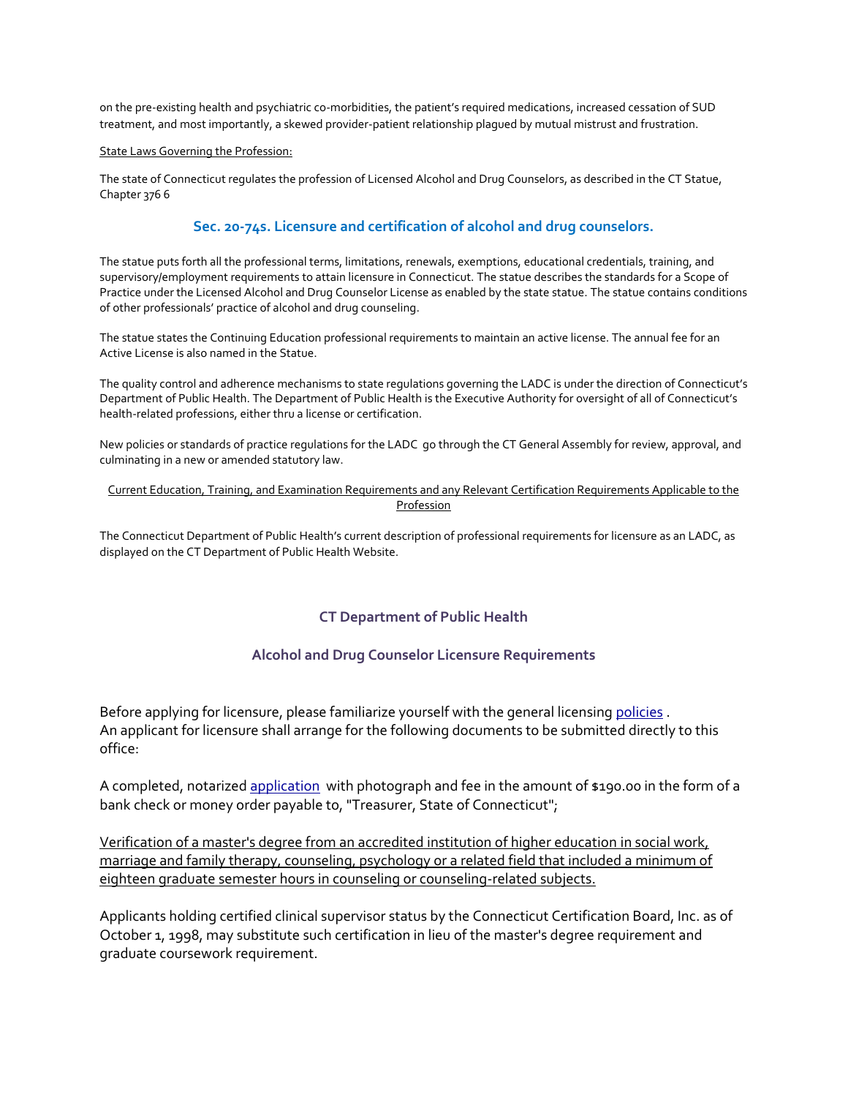on the pre-existing health and psychiatric co-morbidities, the patient's required medications, increased cessation of SUD treatment, and most importantly, a skewed provider-patient relationship plagued by mutual mistrust and frustration.

### State Laws Governing the Profession:

The state of Connecticut regulates the profession of Licensed Alcohol and Drug Counselors, as described in the CT Statue, Chapter 376 6

### **Sec. 20-74s. Licensure and certification of alcohol and drug counselors.**

The statue puts forth all the professional terms, limitations, renewals, exemptions, educational credentials, training, and supervisory/employment requirements to attain licensure in Connecticut. The statue describes the standards for a Scope of Practice under the Licensed Alcohol and Drug Counselor License as enabled by the state statue. The statue contains conditions of other professionals' practice of alcohol and drug counseling.

The statue states the Continuing Education professional requirements to maintain an active license. The annual fee for an Active License is also named in the Statue.

The quality control and adherence mechanisms to state regulations governing the LADC is under the direction of Connecticut's Department of Public Health. The Department of Public Health is the Executive Authority for oversight of all of Connecticut's health-related professions, either thru a license or certification.

New policies or standards of practice regulations for the LADC go through the CT General Assembly for review, approval, and culminating in a new or amended statutory law.

#### Current Education, Training, and Examination Requirements and any Relevant Certification Requirements Applicable to the Profession

The Connecticut Department of Public Health's current description of professional requirements for licensure as an LADC, as displayed on the CT Department of Public Health Website.

### **CT Department of Public Health**

### **Alcohol and Drug Counselor Licensure Requirements**

Before applying for licensure, please familiarize yourself with the general licensing [policies](http://www.ct.gov/dph/cwp/view.asp?a=3121&q=389534) . An applicant for licensure shall arrange for the following documents to be submitted directly to this office:

A completed, notarized [application](http://www.ct.gov/dph/lib/dph/practitioner_licensing_and_investigations/plis/alcohol_drug_counselor/adc_apponly.pdf) with photograph and fee in the amount of \$190.00 in the form of a bank check or money order payable to, "Treasurer, State of Connecticut";

Verification of a master's degree from an accredited institution of higher education in social work, marriage and family therapy, counseling, psychology or a related field that included a minimum of eighteen graduate semester hours in counseling or counseling-related subjects.

Applicants holding certified clinical supervisor status by the Connecticut Certification Board, Inc. as of October 1, 1998, may substitute such certification in lieu of the master's degree requirement and graduate coursework requirement.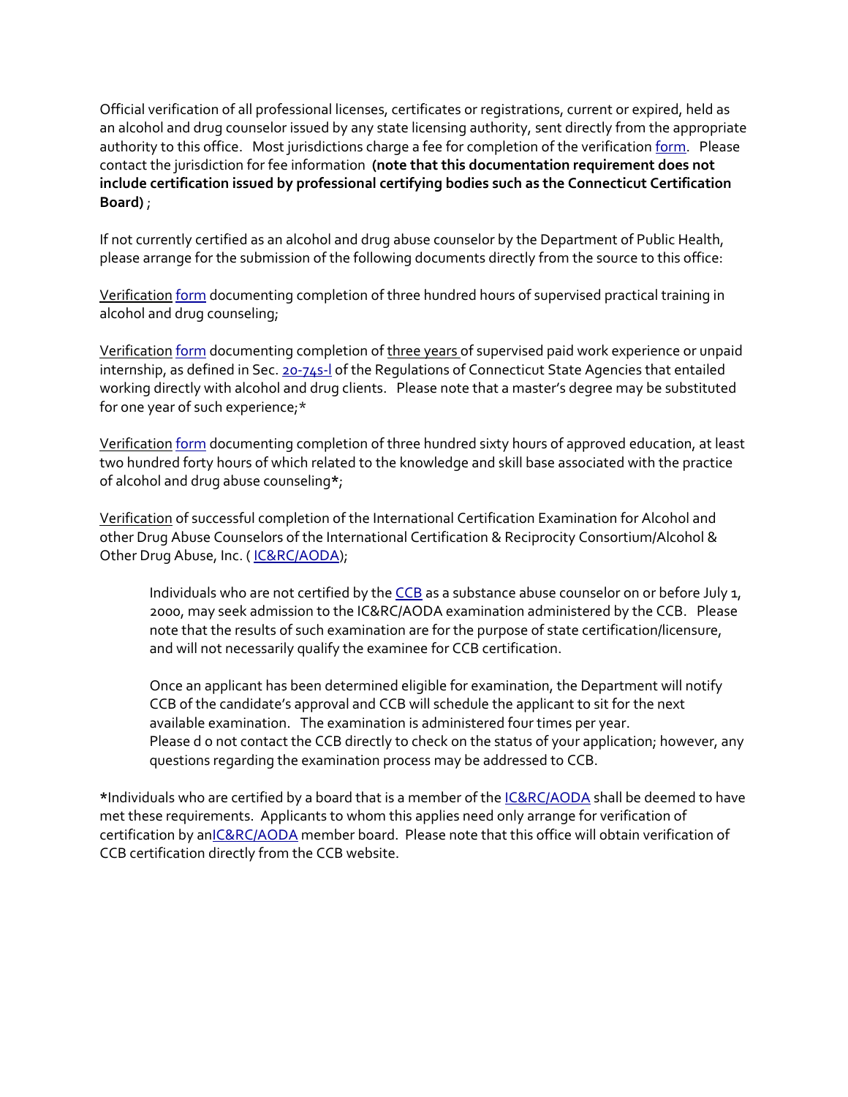Official verification of all professional licenses, certificates or registrations, current or expired, held as an alcohol and drug counselor issued by any state licensing authority, sent directly from the appropriate authority to this office. Most jurisdictions charge a fee for completion of the verification [form.](http://www.ct.gov/dph/lib/dph/practitioner_licensing_and_investigations/plis/alcohol_drug_counselor/adc_licverif.pdf) Please contact the jurisdiction for fee information **(note that this documentation requirement does not include certification issued by professional certifying bodies such as the Connecticut Certification Board)** ;

If not currently certified as an alcohol and drug abuse counselor by the Department of Public Health, please arrange for the submission of the following documents directly from the source to this office:

Verification [form](http://www.ct.gov/dph/lib/dph/practitioner_licensing_and_investigations/plis/alcohol_drug_counselor/adc_practtrainingverif.pdf) documenting completion of three hundred hours of supervised practical training in alcohol and drug counseling;

Verification [form](http://www.ct.gov/dph/lib/dph/practitioner_licensing_and_investigations/plis/alcohol_drug_counselor/adc_wrkexp_int.pdf) documenting completion of three years of supervised paid work experience or unpaid internship, as defined in Sec. [20-74s-l](http://www.ct.gov/dph/lib/dph/practitioner_licensing_and_investigations/plis/alcohol_drug_counselor/adc_regs.pdf) of the Regulations of Connecticut State Agencies that entailed working directly with alcohol and drug clients. Please note that a master's degree may be substituted for one year of such experience;\*

Verification [form](http://www.ct.gov/dph/lib/dph/ADC_VerifEducation.pdf) documenting completion of three hundred sixty hours of approved education, at least two hundred forty hours of which related to the knowledge and skill base associated with the practice of alcohol and drug abuse counseling**\***;

Verification of successful completion of the International Certification Examination for Alcohol and other Drug Abuse Counselors of the International Certification & Reciprocity Consortium/Alcohol & Other Drug Abuse, Inc. ([IC&RC/AODA\)](http://internationalcredentialing.org/);

Individuals who are not certified by the [CCB](http://www.ctcertboard.org/) as a substance abuse counselor on or before July 1, 2000, may seek admission to the IC&RC/AODA examination administered by the CCB. Please note that the results of such examination are for the purpose of state certification/licensure, and will not necessarily qualify the examinee for CCB certification.

Once an applicant has been determined eligible for examination, the Department will notify CCB of the candidate's approval and CCB will schedule the applicant to sit for the next available examination. The examination is administered four times per year. Please d o not contact the CCB directly to check on the status of your application; however, any questions regarding the examination process may be addressed to CCB.

**\***Individuals who are certified by a board that is a member of the [IC&RC/AODA](http://internationalcredentialing.org/) shall be deemed to have met these requirements. Applicants to whom this applies need only arrange for verification of certification by a[nIC&RC/AODA](http://internationalcredentialing.org/) member board. Please note that this office will obtain verification of CCB certification directly from the CCB website.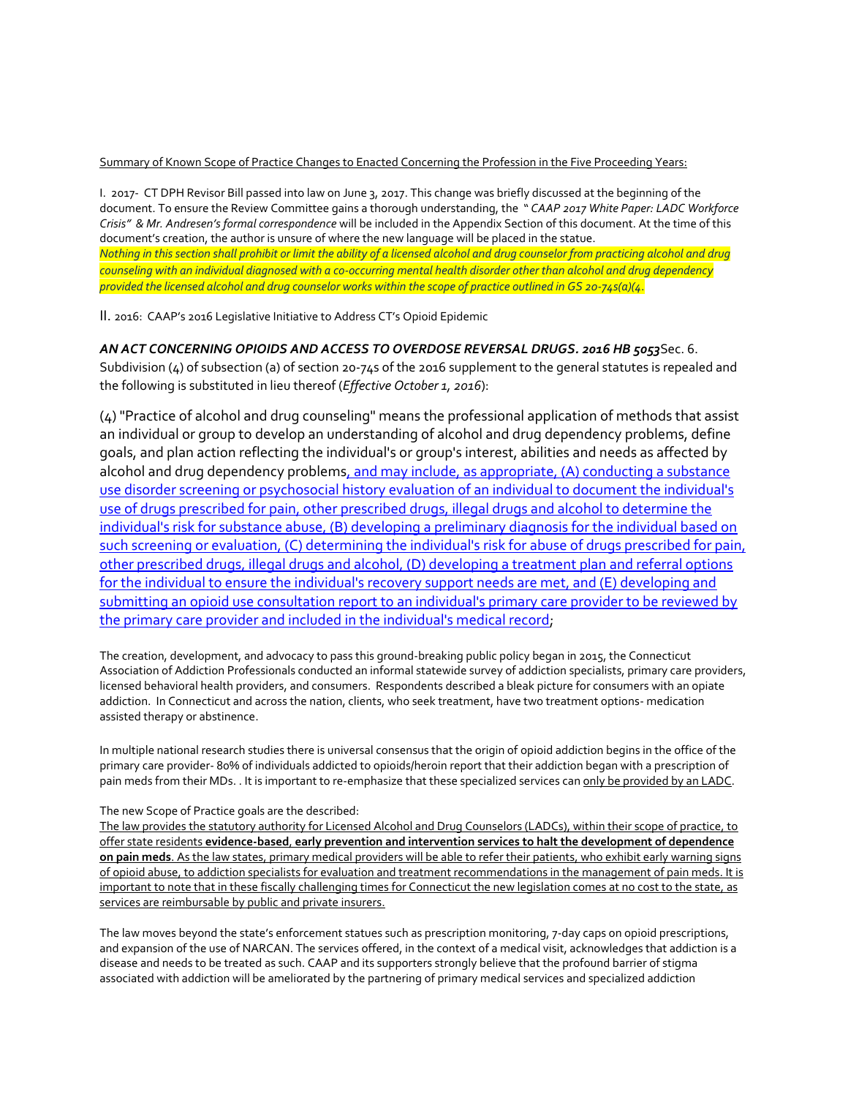### Summary of Known Scope of Practice Changes to Enacted Concerning the Profession in the Five Proceeding Years:

I. 2017- CT DPH Revisor Bill passed into law on June 3, 2017. This change was briefly discussed at the beginning of the document. To ensure the Review Committee gains a thorough understanding, the " *CAAP 2017 White Paper: LADC Workforce Crisis" & Mr. Andresen's formal correspondence* will be included in the Appendix Section of this document. At the time of this document's creation, the author is unsure of where the new language will be placed in the statue. *Nothing in this section shall prohibit or limit the ability of a licensed alcohol and drug counselor from practicing alcohol and drug counseling with an individual diagnosed with a co-occurring mental health disorder other than alcohol and drug dependency provided the licensed alcohol and drug counselor works within the scope of practice outlined in GS 20-74s(a)(4*.

II. 2016: CAAP's 2016 Legislative Initiative to Address CT's Opioid Epidemic

### *AN ACT CONCERNING OPIOIDS AND ACCESS TO OVERDOSE REVERSAL DRUGS. 2016 HB 5053*Sec. 6.

Subdivision (4) of subsection (a) of section 20-74s of the 2016 supplement to the general statutes is repealed and the following is substituted in lieu thereof (*Effective October 1, 2016*):

(4) "Practice of alcohol and drug counseling" means the professional application of methods that assist an individual or group to develop an understanding of alcohol and drug dependency problems, define goals, and plan action reflecting the individual's or group's interest, abilities and needs as affected by alcohol and drug dependency problems, and may include, as appropriate, (A) conducting a substance use disorder screening or psychosocial history evaluation of an individual to document the individual's use of drugs prescribed for pain, other prescribed drugs, illegal drugs and alcohol to determine the individual's risk for substance abuse, (B) developing a preliminary diagnosis for the individual based on such screening or evaluation, (C) determining the individual's risk for abuse of drugs prescribed for pain, other prescribed drugs, illegal drugs and alcohol, (D) developing a treatment plan and referral options for the individual to ensure the individual's recovery support needs are met, and (E) developing and submitting an opioid use consultation report to an individual's primary care provider to be reviewed by the primary care provider and included in the individual's medical record;

The creation, development, and advocacy to pass this ground-breaking public policy began in 2015, the Connecticut Association of Addiction Professionals conducted an informal statewide survey of addiction specialists, primary care providers, licensed behavioral health providers, and consumers. Respondents described a bleak picture for consumers with an opiate addiction. In Connecticut and across the nation, clients, who seek treatment, have two treatment options- medication assisted therapy or abstinence.

In multiple national research studies there is universal consensus that the origin of opioid addiction begins in the office of the primary care provider- 80% of individuals addicted to opioids/heroin report that their addiction began with a prescription of pain meds from their MDs. . It is important to re-emphasize that these specialized services can only be provided by an LADC.

#### The new Scope of Practice goals are the described:

The law provides the statutory authority for Licensed Alcohol and Drug Counselors (LADCs), within their scope of practice, to offer state residents **evidence-based**, **early prevention and intervention services to halt the development of dependence on pain meds**. As the law states, primary medical providers will be able to refer their patients, who exhibit early warning signs of opioid abuse, to addiction specialists for evaluation and treatment recommendations in the management of pain meds. It is important to note that in these fiscally challenging times for Connecticut the new legislation comes at no cost to the state, as services are reimbursable by public and private insurers.

The law moves beyond the state's enforcement statues such as prescription monitoring, 7-day caps on opioid prescriptions, and expansion of the use of NARCAN. The services offered, in the context of a medical visit, acknowledges that addiction is a disease and needs to be treated as such. CAAP and its supporters strongly believe that the profound barrier of stigma associated with addiction will be ameliorated by the partnering of primary medical services and specialized addiction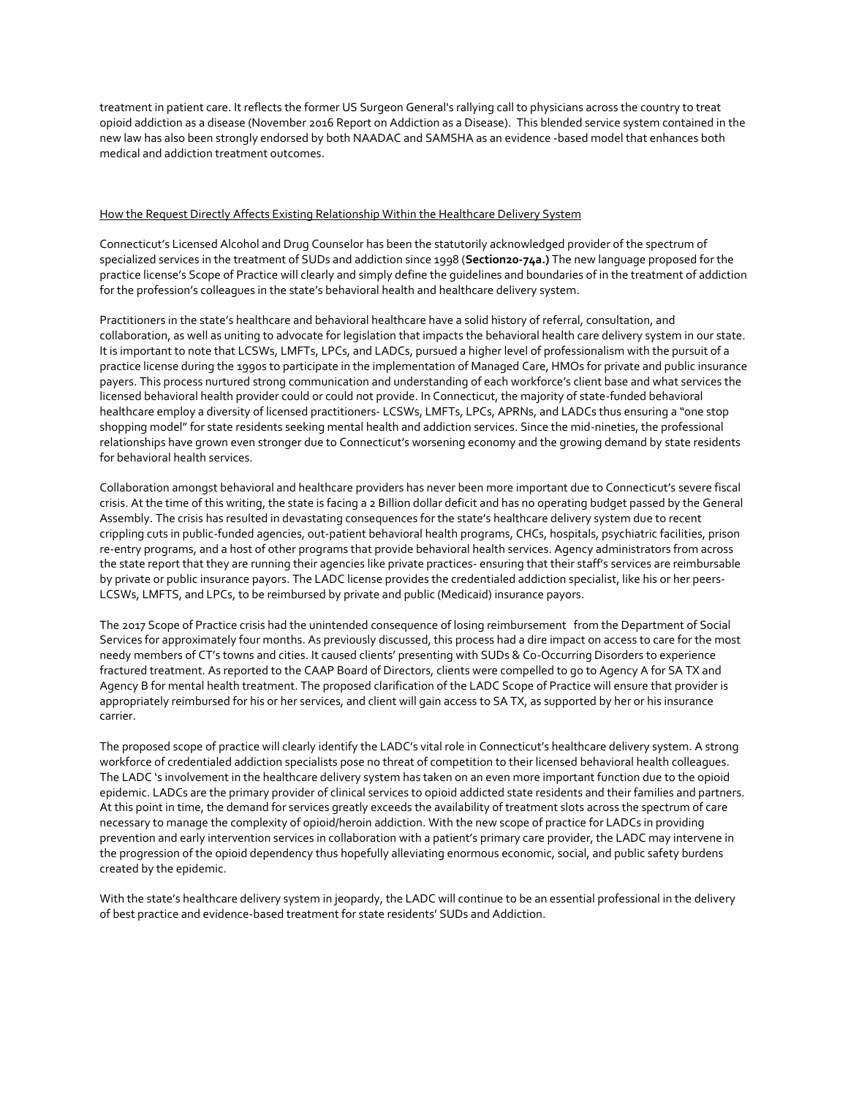treatment in patient care. It reflects the former US Surgeon General's rallying call to physicians across the country to treat opioid addiction as a disease (November 2016 Report on Addiction as a Disease). This blended service system contained in the new law has also been strongly endorsed by both NAADAC and SAMSHA as an evidence -based model that enhances both medical and addiction treatment outcomes.

### How the Request Directly Affects Existing Relationship Within the Healthcare Delivery System

Connecticut's Licensed Alcohol and Drug Counselor has been the statutorily acknowledged provider of the spectrum of specialized services in the treatment of SUDs and addiction since 1998 (**Section20-74a.)** The new language proposed for the practice license's Scope of Practice will clearly and simply define the guidelines and boundaries of in the treatment of addiction for the profession's colleagues in the state's behavioral health and healthcare delivery system.

Practitioners in the state's healthcare and behavioral healthcare have a solid history of referral, consultation, and collaboration, as well as uniting to advocate for legislation that impacts the behavioral health care delivery system in our state. It is important to note that LCSWs, LMFTs, LPCs, and LADCs, pursued a higher level of professionalism with the pursuit of a practice license during the 1990s to participate in the implementation of Managed Care, HMOs for private and public insurance payers. This process nurtured strong communication and understanding of each workforce's client base and what services the licensed behavioral health provider could or could not provide. In Connecticut, the majority of state-funded behavioral healthcare employ a diversity of licensed practitioners- LCSWs, LMFTs, LPCs, APRNs, and LADCs thus ensuring a "one stop shopping model" for state residents seeking mental health and addiction services. Since the mid-nineties, the professional relationships have grown even stronger due to Connecticut's worsening economy and the growing demand by state residents for behavioral health services.

Collaboration amongst behavioral and healthcare providers has never been more important due to Connecticut's severe fiscal crisis. At the time of this writing, the state is facing a 2 Billion dollar deficit and has no operating budget passed by the General Assembly. The crisis has resulted in devastating consequences for the state's healthcare delivery system due to recent crippling cuts in public-funded agencies, out-patient behavioral health programs, CHCs, hospitals, psychiatric facilities, prison re-entry programs, and a host of other programs that provide behavioral health services. Agency administrators from across the state report that they are running their agencies like private practices- ensuring that their staff's services are reimbursable by private or public insurance payors. The LADC license provides the credentialed addiction specialist, like his or her peers-LCSWs, LMFTS, and LPCs, to be reimbursed by private and public (Medicaid) insurance payors.

The 2017 Scope of Practice crisis had the unintended consequence of losing reimbursement from the Department of Social Services for approximately four months. As previously discussed, this process had a dire impact on access to care for the most needy members of CT's towns and cities. It caused clients' presenting with SUDs & Co-Occurring Disorders to experience fractured treatment. As reported to the CAAP Board of Directors, clients were compelled to go to Agency A for SA TX and Agency B for mental health treatment. The proposed clarification of the LADC Scope of Practice will ensure that provider is appropriately reimbursed for his or her services, and client will gain access to SA TX, as supported by her or his insurance carrier.

The proposed scope of practice will clearly identify the LADC's vital role in Connecticut's healthcare delivery system. A strong workforce of credentialed addiction specialists pose no threat of competition to their licensed behavioral health colleagues. The LADC 's involvement in the healthcare delivery system has taken on an even more important function due to the opioid epidemic. LADCs are the primary provider of clinical services to opioid addicted state residents and their families and partners. At this point in time, the demand for services greatly exceeds the availability of treatment slots across the spectrum of care necessary to manage the complexity of opioid/heroin addiction. With the new scope of practice for LADCs in providing prevention and early intervention services in collaboration with a patient's primary care provider, the LADC may intervene in the progression of the opioid dependency thus hopefully alleviating enormous economic, social, and public safety burdens created by the epidemic.

With the state's healthcare delivery system in jeopardy, the LADC will continue to be an essential professional in the delivery of best practice and evidence-based treatment for state residents' SUDs and Addiction.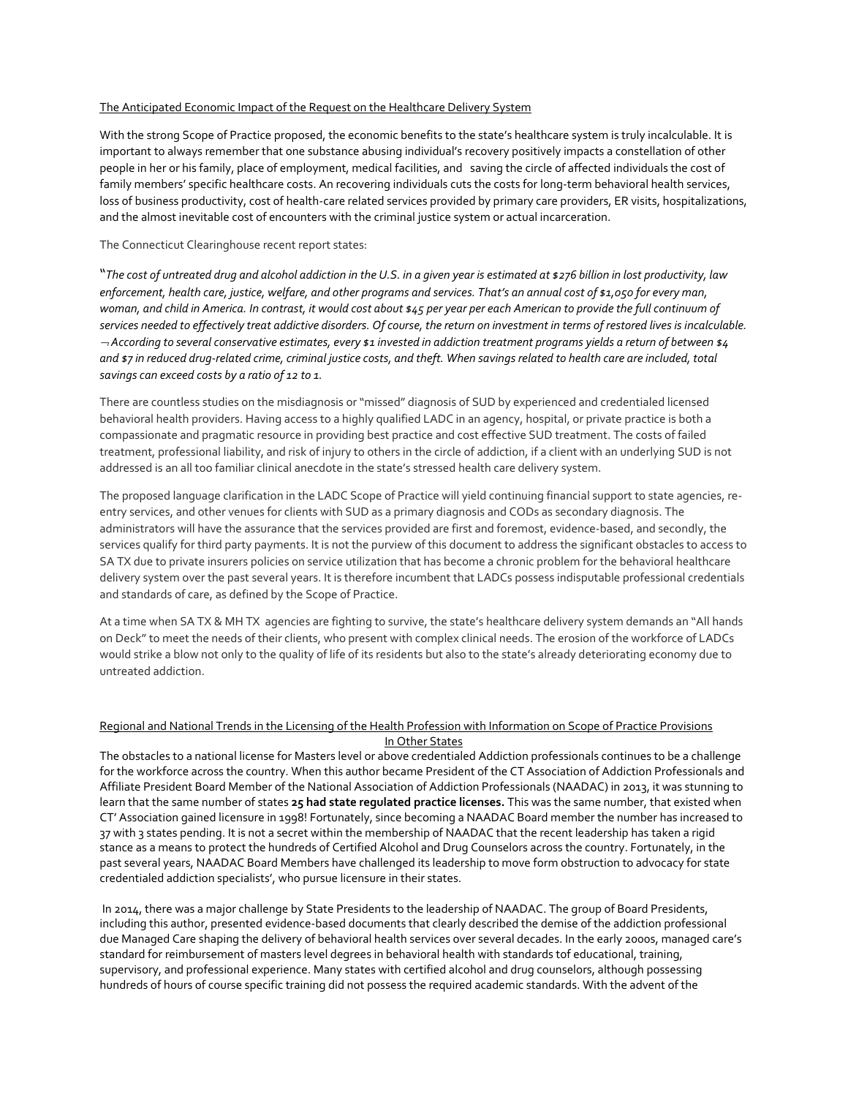### The Anticipated Economic Impact of the Request on the Healthcare Delivery System

With the strong Scope of Practice proposed, the economic benefits to the state's healthcare system is truly incalculable. It is important to always remember that one substance abusing individual's recovery positively impacts a constellation of other people in her or his family, place of employment, medical facilities, and saving the circle of affected individuals the cost of family members' specific healthcare costs. An recovering individuals cuts the costs for long-term behavioral health services, loss of business productivity, cost of health-care related services provided by primary care providers, ER visits, hospitalizations, and the almost inevitable cost of encounters with the criminal justice system or actual incarceration.

#### The Connecticut Clearinghouse recent report states:

"*The cost of untreated drug and alcohol addiction in the U.S. in a given year is estimated at \$276 billion in lost productivity, law enforcement, health care, justice, welfare, and other programs and services. That's an annual cost of \$1,050 for every man, woman, and child in America. In contrast, it would cost about \$45 per year per each American to provide the full continuum of services needed to effectively treat addictive disorders. Of course, the return on investment in terms of restored lives is incalculable. According to several conservative estimates, every \$1 invested in addiction treatment programs yields a return of between \$4 and \$7 in reduced drug-related crime, criminal justice costs, and theft. When savings related to health care are included, total savings can exceed costs by a ratio of 12 to 1.*

There are countless studies on the misdiagnosis or "missed" diagnosis of SUD by experienced and credentialed licensed behavioral health providers. Having access to a highly qualified LADC in an agency, hospital, or private practice is both a compassionate and pragmatic resource in providing best practice and cost effective SUD treatment. The costs of failed treatment, professional liability, and risk of injury to others in the circle of addiction, if a client with an underlying SUD is not addressed is an all too familiar clinical anecdote in the state's stressed health care delivery system.

The proposed language clarification in the LADC Scope of Practice will yield continuing financial support to state agencies, reentry services, and other venues for clients with SUD as a primary diagnosis and CODs as secondary diagnosis. The administrators will have the assurance that the services provided are first and foremost, evidence-based, and secondly, the services qualify for third party payments. It is not the purview of this document to address the significant obstacles to access to SA TX due to private insurers policies on service utilization that has become a chronic problem for the behavioral healthcare delivery system over the past several years. It is therefore incumbent that LADCs possess indisputable professional credentials and standards of care, as defined by the Scope of Practice.

At a time when SA TX & MH TX agencies are fighting to survive, the state's healthcare delivery system demands an "All hands on Deck" to meet the needs of their clients, who present with complex clinical needs. The erosion of the workforce of LADCs would strike a blow not only to the quality of life of its residents but also to the state's already deteriorating economy due to untreated addiction.

#### Regional and National Trends in the Licensing of the Health Profession with Information on Scope of Practice Provisions In Other States

The obstacles to a national license for Masters level or above credentialed Addiction professionals continues to be a challenge for the workforce across the country. When this author became President of the CT Association of Addiction Professionals and Affiliate President Board Member of the National Association of Addiction Professionals (NAADAC) in 2013, it was stunning to learn that the same number of states **25 had state regulated practice licenses.** This was the same number, that existed when CT' Association gained licensure in 1998! Fortunately, since becoming a NAADAC Board member the number has increased to 37 with 3 states pending. It is not a secret within the membership of NAADAC that the recent leadership has taken a rigid stance as a means to protect the hundreds of Certified Alcohol and Drug Counselors across the country. Fortunately, in the past several years, NAADAC Board Members have challenged its leadership to move form obstruction to advocacy for state credentialed addiction specialists', who pursue licensure in their states.

In 2014, there was a major challenge by State Presidents to the leadership of NAADAC. The group of Board Presidents, including this author, presented evidence-based documents that clearly described the demise of the addiction professional due Managed Care shaping the delivery of behavioral health services over several decades. In the early 2000s, managed care's standard for reimbursement of masters level degrees in behavioral health with standards tof educational, training, supervisory, and professional experience. Many states with certified alcohol and drug counselors, although possessing hundreds of hours of course specific training did not possess the required academic standards. With the advent of the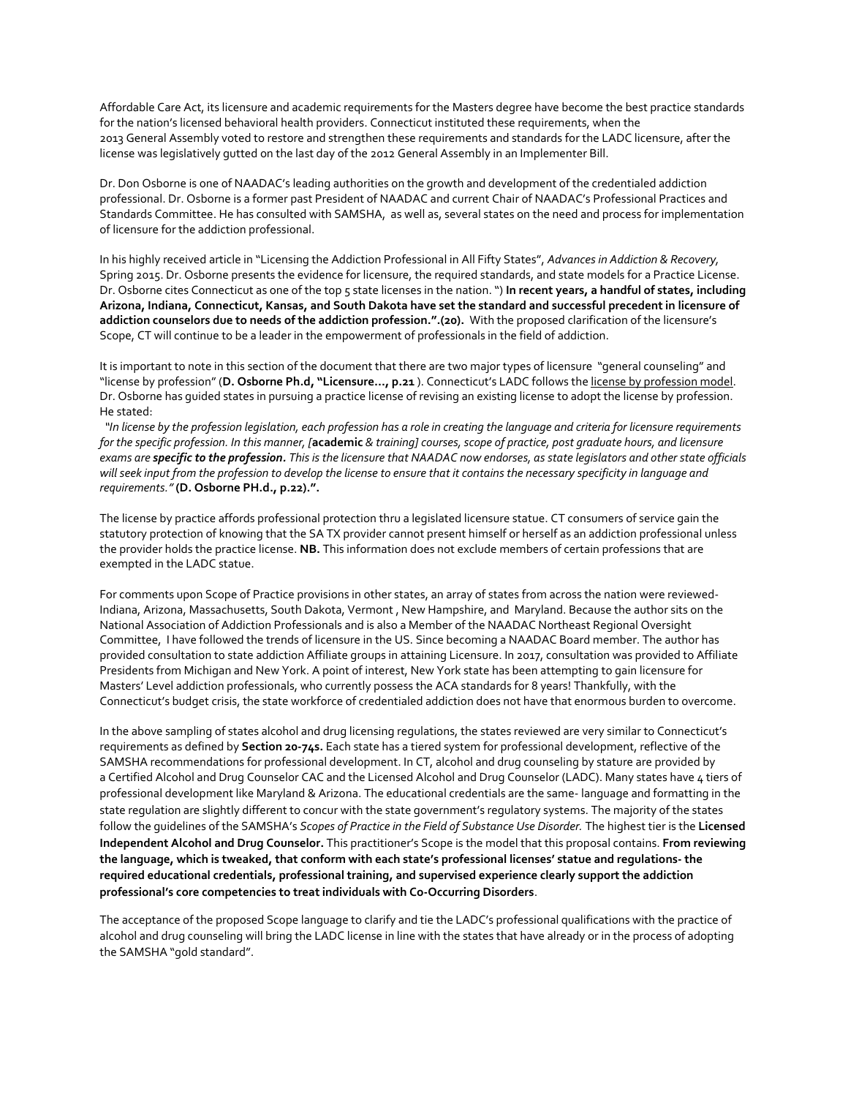Affordable Care Act, its licensure and academic requirements for the Masters degree have become the best practice standards for the nation's licensed behavioral health providers. Connecticut instituted these requirements, when the 2013 General Assembly voted to restore and strengthen these requirements and standards for the LADC licensure, after the license was legislatively gutted on the last day of the 2012 General Assembly in an Implementer Bill.

Dr. Don Osborne is one of NAADAC's leading authorities on the growth and development of the credentialed addiction professional. Dr. Osborne is a former past President of NAADAC and current Chair of NAADAC's Professional Practices and Standards Committee. He has consulted with SAMSHA, as well as, several states on the need and process for implementation of licensure for the addiction professional.

In his highly received article in "Licensing the Addiction Professional in All Fifty States", *Advances in Addiction & Recovery,* Spring 2015. Dr. Osborne presents the evidence for licensure, the required standards, and state models for a Practice License. Dr. Osborne cites Connecticut as one of the top 5 state licenses in the nation. ") **In recent years, a handful of states, including Arizona, Indiana, Connecticut, Kansas, and South Dakota have set the standard and successful precedent in licensure of addiction counselors due to needs of the addiction profession.".(20).** With the proposed clarification of the licensure's Scope, CT will continue to be a leader in the empowerment of professionals in the field of addiction.

It is important to note in this section of the document that there are two major types of licensure "general counseling" and "license by profession" (**D. Osborne Ph.d, "Licensure…, p.21** ). Connecticut's LADC follows the license by profession model. Dr. Osborne has guided states in pursuing a practice license of revising an existing license to adopt the license by profession. He stated:

 *"In license by the profession legislation, each profession has a role in creating the language and criteria for licensure requirements for the specific profession. In this manner, [***academic** *& training] courses, scope of practice, post graduate hours, and licensure exams are specific to the profession. This is the licensure that NAADAC now endorses, as state legislators and other state officials will seek input from the profession to develop the license to ensure that it contains the necessary specificity in language and requirements."* **(D. Osborne PH.d., p.22).".** 

The license by practice affords professional protection thru a legislated licensure statue. CT consumers of service gain the statutory protection of knowing that the SA TX provider cannot present himself or herself as an addiction professional unless the provider holds the practice license. **NB.** This information does not exclude members of certain professions that are exempted in the LADC statue.

For comments upon Scope of Practice provisions in other states, an array of states from across the nation were reviewed-Indiana, Arizona, Massachusetts, South Dakota, Vermont , New Hampshire, and Maryland. Because the author sits on the National Association of Addiction Professionals and is also a Member of the NAADAC Northeast Regional Oversight Committee, I have followed the trends of licensure in the US. Since becoming a NAADAC Board member. The author has provided consultation to state addiction Affiliate groups in attaining Licensure. In 2017, consultation was provided to Affiliate Presidents from Michigan and New York. A point of interest, New York state has been attempting to gain licensure for Masters' Level addiction professionals, who currently possess the ACA standards for 8 years! Thankfully, with the Connecticut's budget crisis, the state workforce of credentialed addiction does not have that enormous burden to overcome.

In the above sampling of states alcohol and drug licensing regulations, the states reviewed are very similar to Connecticut's requirements as defined by **Section 20-74s.** Each state has a tiered system for professional development, reflective of the SAMSHA recommendations for professional development. In CT, alcohol and drug counseling by stature are provided by a Certified Alcohol and Drug Counselor CAC and the Licensed Alcohol and Drug Counselor (LADC). Many states have 4 tiers of professional development like Maryland & Arizona. The educational credentials are the same- language and formatting in the state regulation are slightly different to concur with the state government's regulatory systems. The majority of the states follow the guidelines of the SAMSHA's *Scopes of Practice in the Field of Substance Use Disorder.* The highest tier is the **Licensed Independent Alcohol and Drug Counselor.** This practitioner's Scope is the model that this proposal contains. **From reviewing the language, which is tweaked, that conform with each state's professional licenses' statue and regulations- the required educational credentials, professional training, and supervised experience clearly support the addiction professional's core competencies to treat individuals with Co-Occurring Disorders**.

The acceptance of the proposed Scope language to clarify and tie the LADC's professional qualifications with the practice of alcohol and drug counseling will bring the LADC license in line with the states that have already or in the process of adopting the SAMSHA "gold standard".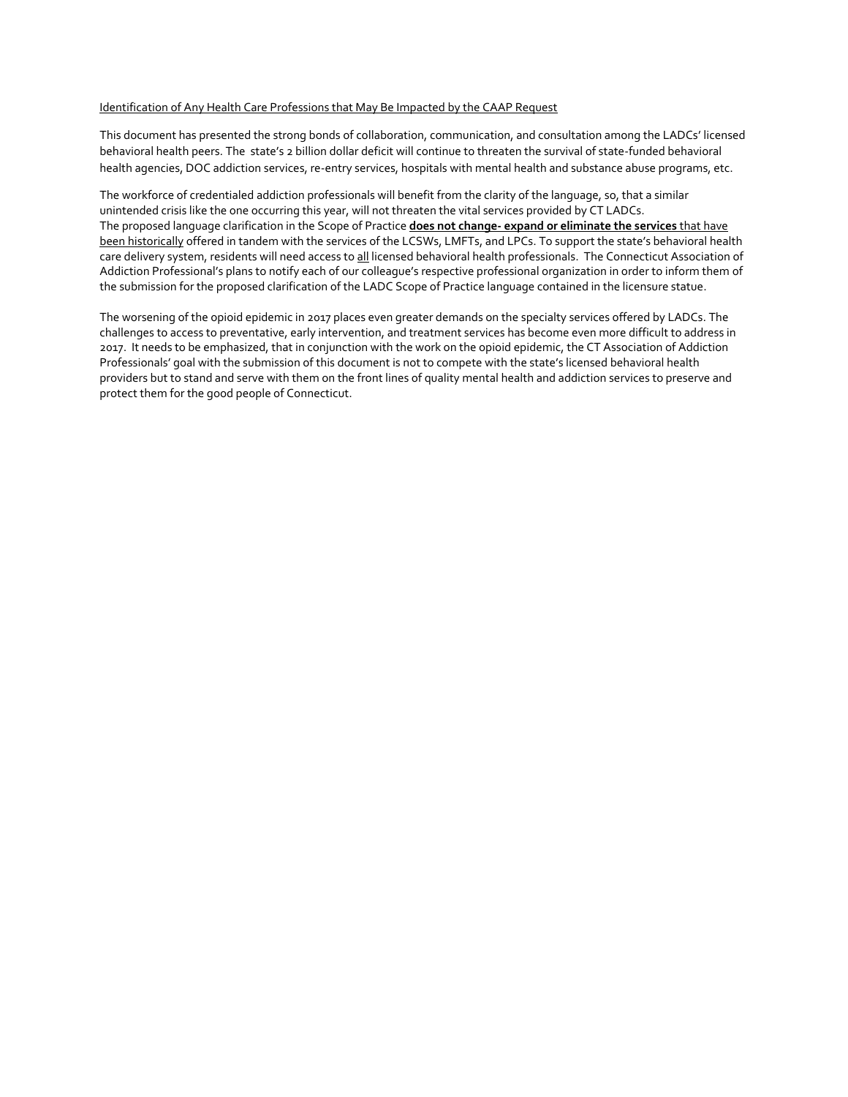### Identification of Any Health Care Professions that May Be Impacted by the CAAP Request

This document has presented the strong bonds of collaboration, communication, and consultation among the LADCs' licensed behavioral health peers. The state's 2 billion dollar deficit will continue to threaten the survival of state-funded behavioral health agencies, DOC addiction services, re-entry services, hospitals with mental health and substance abuse programs, etc.

The workforce of credentialed addiction professionals will benefit from the clarity of the language, so, that a similar unintended crisis like the one occurring this year, will not threaten the vital services provided by CT LADCs. The proposed language clarification in the Scope of Practice **does not change- expand or eliminate the services** that have been historically offered in tandem with the services of the LCSWs, LMFTs, and LPCs. To support the state's behavioral health care delivery system, residents will need access to all licensed behavioral health professionals. The Connecticut Association of Addiction Professional's plans to notify each of our colleague's respective professional organization in order to inform them of the submission for the proposed clarification of the LADC Scope of Practice language contained in the licensure statue.

The worsening of the opioid epidemic in 2017 places even greater demands on the specialty services offered by LADCs. The challenges to access to preventative, early intervention, and treatment services has become even more difficult to address in 2017. It needs to be emphasized, that in conjunction with the work on the opioid epidemic, the CT Association of Addiction Professionals' goal with the submission of this document is not to compete with the state's licensed behavioral health providers but to stand and serve with them on the front lines of quality mental health and addiction services to preserve and protect them for the good people of Connecticut.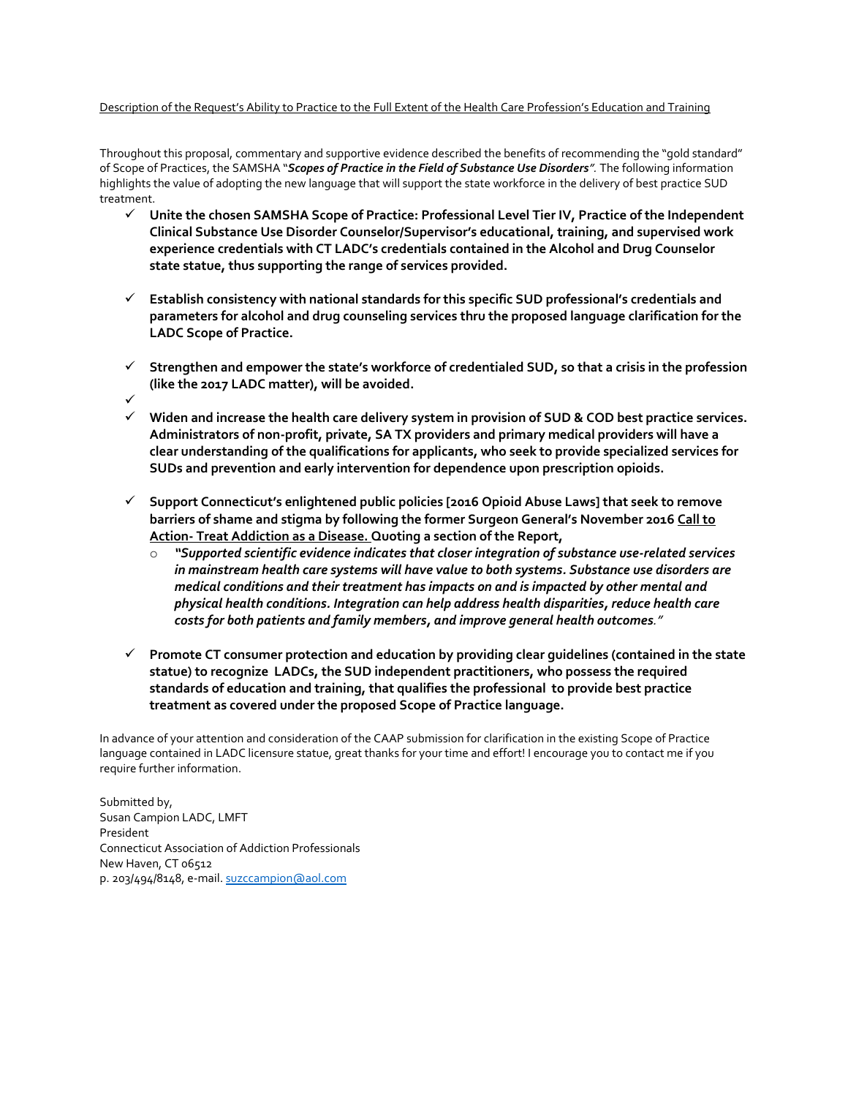### Description of the Request's Ability to Practice to the Full Extent of the Health Care Profession's Education and Training

Throughout this proposal, commentary and supportive evidence described the benefits of recommending the "gold standard" of Scope of Practices, the SAMSHA "*Scopes of Practice in the Field of Substance Use Disorders".* The following information highlights the value of adopting the new language that will support the state workforce in the delivery of best practice SUD treatment.

- **Unite the chosen SAMSHA Scope of Practice: Professional Level Tier IV, Practice of the Independent Clinical Substance Use Disorder Counselor/Supervisor's educational, training, and supervised work experience credentials with CT LADC's credentials contained in the Alcohol and Drug Counselor state statue, thus supporting the range of services provided.**
- **Establish consistency with national standards for this specific SUD professional's credentials and parameters for alcohol and drug counseling services thru the proposed language clarification for the LADC Scope of Practice.**
- **Strengthen and empower the state's workforce of credentialed SUD, so that a crisis in the profession (like the 2017 LADC matter), will be avoided.**
- $\checkmark$
- **Widen and increase the health care delivery system in provision of SUD & COD best practice services. Administrators of non-profit, private, SA TX providers and primary medical providers will have a clear understanding of the qualifications for applicants, who seek to provide specialized services for SUDs and prevention and early intervention for dependence upon prescription opioids.**
- **Support Connecticut's enlightened public policies [2016 Opioid Abuse Laws] that seek to remove barriers of shame and stigma by following the former Surgeon General's November 2016 Call to Action- Treat Addiction as a Disease. Quoting a section of the Report,**
	- o *"Supported scientific evidence indicates that closer integration of substance use-related services in mainstream health care systems will have value to both systems. Substance use disorders are medical conditions and their treatment has impacts on and is impacted by other mental and physical health conditions. Integration can help address health disparities, reduce health care costs for both patients and family members, and improve general health outcomes."*
- **Promote CT consumer protection and education by providing clear guidelines (contained in the state statue) to recognize LADCs, the SUD independent practitioners, who possess the required standards of education and training, that qualifies the professional to provide best practice treatment as covered under the proposed Scope of Practice language.**

In advance of your attention and consideration of the CAAP submission for clarification in the existing Scope of Practice language contained in LADC licensure statue, great thanks for your time and effort! I encourage you to contact me if you require further information.

Submitted by, Susan Campion LADC, LMFT President Connecticut Association of Addiction Professionals New Haven, CT 06512 p. 203/494/8148, e-mail[. suzccampion@aol.com](mailto:suzccampion@aol.com)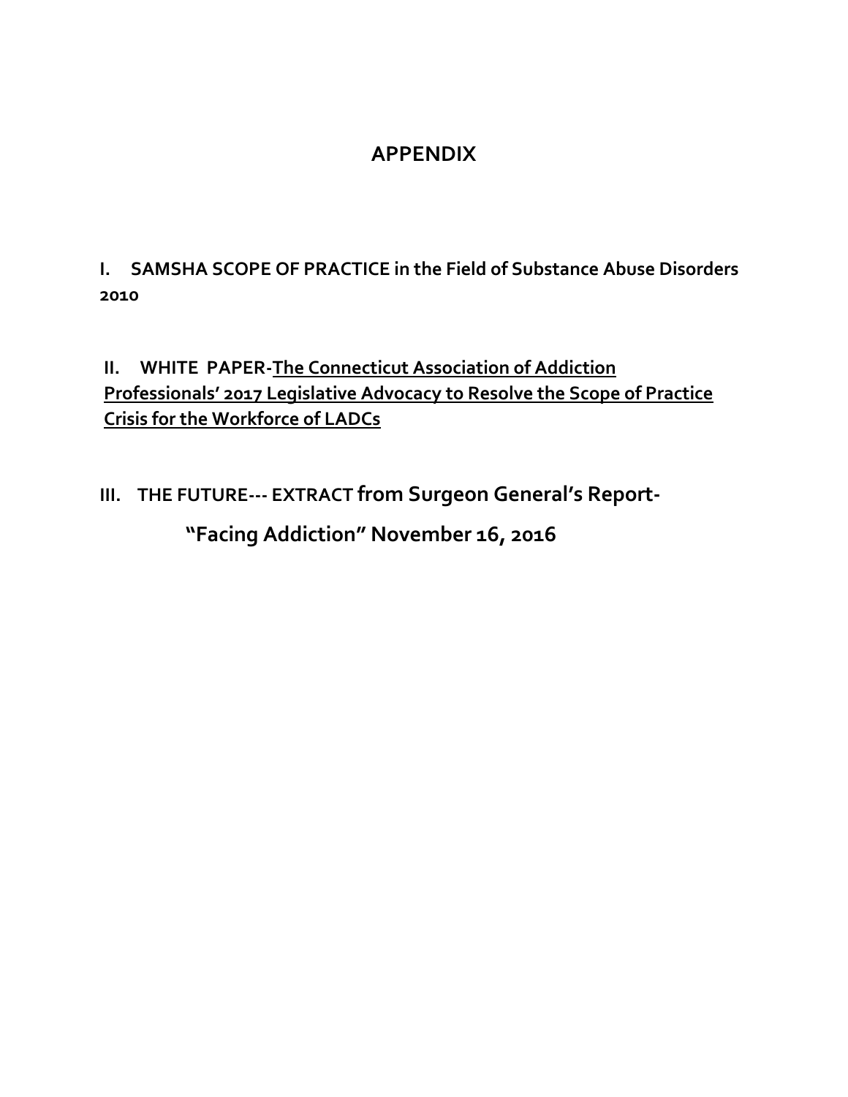### **APPENDIX**

**I. SAMSHA SCOPE OF PRACTICE in the Field of Substance Abuse Disorders 2010**

### **II. WHITE PAPER-The Connecticut Association of Addiction Professionals' 2017 Legislative Advocacy to Resolve the Scope of Practice Crisis for the Workforce of LADCs**

# **III. THE FUTURE--- EXTRACT from Surgeon General's Report- "Facing Addiction" November 16, 2016**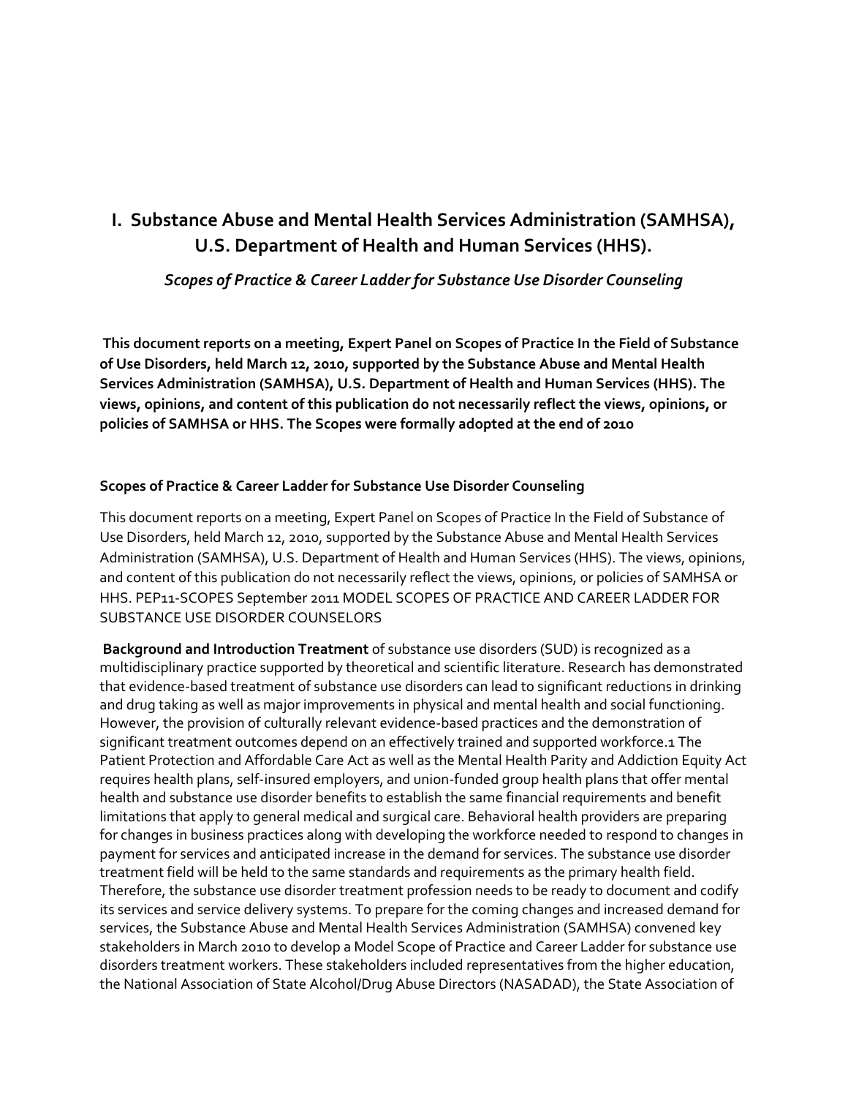### **I. Substance Abuse and Mental Health Services Administration (SAMHSA), U.S. Department of Health and Human Services (HHS).**

*Scopes of Practice & Career Ladder for Substance Use Disorder Counseling*

**This document reports on a meeting, Expert Panel on Scopes of Practice In the Field of Substance of Use Disorders, held March 12, 2010, supported by the Substance Abuse and Mental Health Services Administration (SAMHSA), U.S. Department of Health and Human Services (HHS). The views, opinions, and content of this publication do not necessarily reflect the views, opinions, or policies of SAMHSA or HHS. The Scopes were formally adopted at the end of 2010**

### **Scopes of Practice & Career Ladder for Substance Use Disorder Counseling**

This document reports on a meeting, Expert Panel on Scopes of Practice In the Field of Substance of Use Disorders, held March 12, 2010, supported by the Substance Abuse and Mental Health Services Administration (SAMHSA), U.S. Department of Health and Human Services (HHS). The views, opinions, and content of this publication do not necessarily reflect the views, opinions, or policies of SAMHSA or HHS. PEP11-SCOPES September 2011 MODEL SCOPES OF PRACTICE AND CAREER LADDER FOR SUBSTANCE USE DISORDER COUNSELORS

**Background and Introduction Treatment** of substance use disorders (SUD) is recognized as a multidisciplinary practice supported by theoretical and scientific literature. Research has demonstrated that evidence-based treatment of substance use disorders can lead to significant reductions in drinking and drug taking as well as major improvements in physical and mental health and social functioning. However, the provision of culturally relevant evidence-based practices and the demonstration of significant treatment outcomes depend on an effectively trained and supported workforce.1 The Patient Protection and Affordable Care Act as well as the Mental Health Parity and Addiction Equity Act requires health plans, self-insured employers, and union-funded group health plans that offer mental health and substance use disorder benefits to establish the same financial requirements and benefit limitations that apply to general medical and surgical care. Behavioral health providers are preparing for changes in business practices along with developing the workforce needed to respond to changes in payment for services and anticipated increase in the demand for services. The substance use disorder treatment field will be held to the same standards and requirements as the primary health field. Therefore, the substance use disorder treatment profession needs to be ready to document and codify its services and service delivery systems. To prepare for the coming changes and increased demand for services, the Substance Abuse and Mental Health Services Administration (SAMHSA) convened key stakeholders in March 2010 to develop a Model Scope of Practice and Career Ladder for substance use disorders treatment workers. These stakeholders included representatives from the higher education, the National Association of State Alcohol/Drug Abuse Directors (NASADAD), the State Association of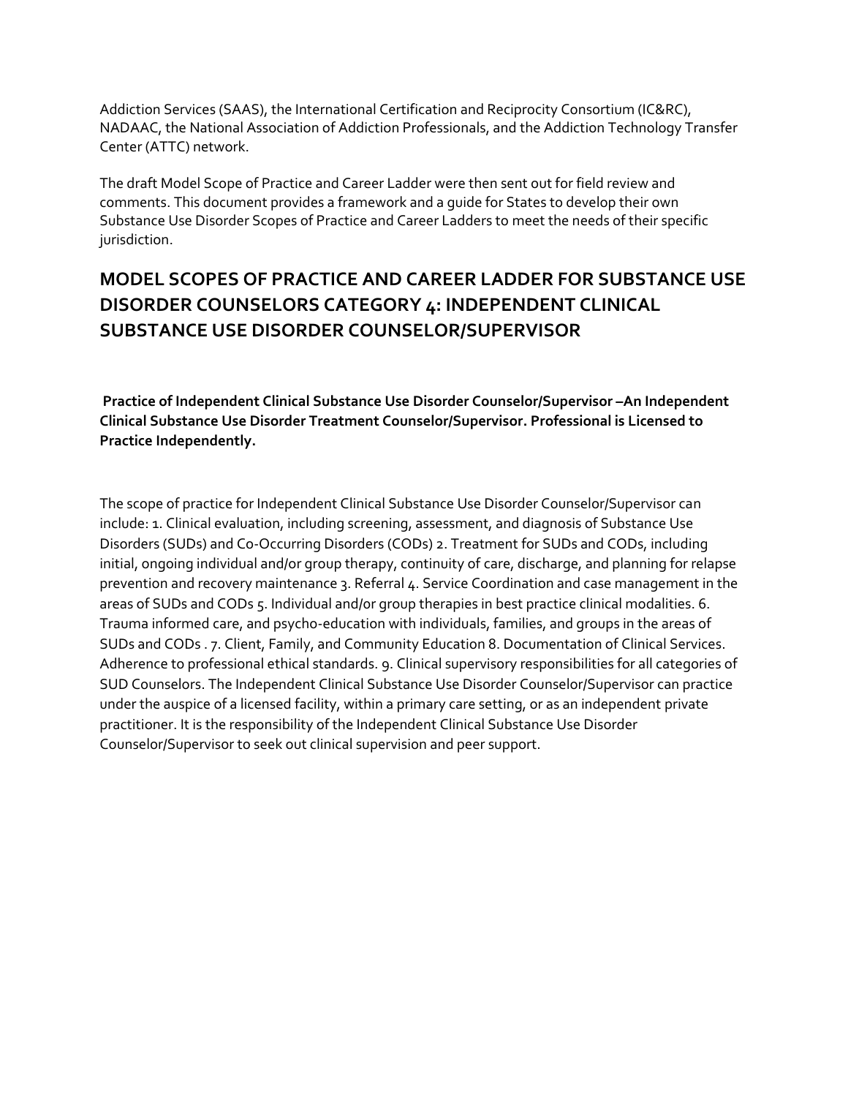Addiction Services (SAAS), the International Certification and Reciprocity Consortium (IC&RC), NADAAC, the National Association of Addiction Professionals, and the Addiction Technology Transfer Center (ATTC) network.

The draft Model Scope of Practice and Career Ladder were then sent out for field review and comments. This document provides a framework and a guide for States to develop their own Substance Use Disorder Scopes of Practice and Career Ladders to meet the needs of their specific jurisdiction.

### **MODEL SCOPES OF PRACTICE AND CAREER LADDER FOR SUBSTANCE USE DISORDER COUNSELORS CATEGORY 4: INDEPENDENT CLINICAL SUBSTANCE USE DISORDER COUNSELOR/SUPERVISOR**

**Practice of Independent Clinical Substance Use Disorder Counselor/Supervisor –An Independent Clinical Substance Use Disorder Treatment Counselor/Supervisor. Professional is Licensed to Practice Independently.**

The scope of practice for Independent Clinical Substance Use Disorder Counselor/Supervisor can include: 1. Clinical evaluation, including screening, assessment, and diagnosis of Substance Use Disorders (SUDs) and Co-Occurring Disorders (CODs) 2. Treatment for SUDs and CODs, including initial, ongoing individual and/or group therapy, continuity of care, discharge, and planning for relapse prevention and recovery maintenance 3. Referral 4. Service Coordination and case management in the areas of SUDs and CODs 5. Individual and/or group therapies in best practice clinical modalities. 6. Trauma informed care, and psycho-education with individuals, families, and groups in the areas of SUDs and CODs . 7. Client, Family, and Community Education 8. Documentation of Clinical Services. Adherence to professional ethical standards. 9. Clinical supervisory responsibilities for all categories of SUD Counselors. The Independent Clinical Substance Use Disorder Counselor/Supervisor can practice under the auspice of a licensed facility, within a primary care setting, or as an independent private practitioner. It is the responsibility of the Independent Clinical Substance Use Disorder Counselor/Supervisor to seek out clinical supervision and peer support.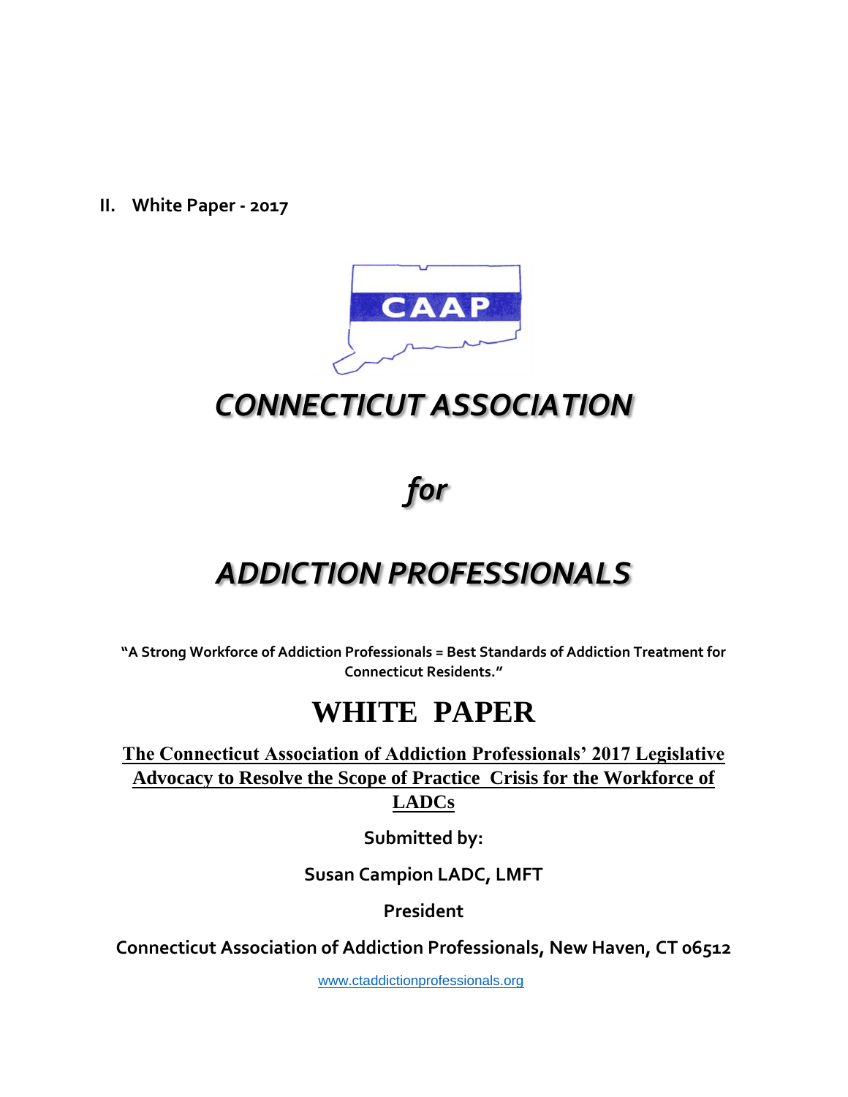**II. White Paper - 2017**



# *CONNECTICUT ASSOCIATION*

*for*

# *ADDICTION PROFESSIONALS*

**"A Strong Workforce of Addiction Professionals = Best Standards of Addiction Treatment for Connecticut Residents."**

# **WHITE PAPER**

**The Connecticut Association of Addiction Professionals' 2017 Legislative Advocacy to Resolve the Scope of Practice Crisis for the Workforce of LADCs** 

**Submitted by:**

**Susan Campion LADC, LMFT**

**President**

**Connecticut Association of Addiction Professionals, New Haven, CT 06512**

[www.ctaddictionprofessionals.org](http://www.ctaddictionprofessionals.org/)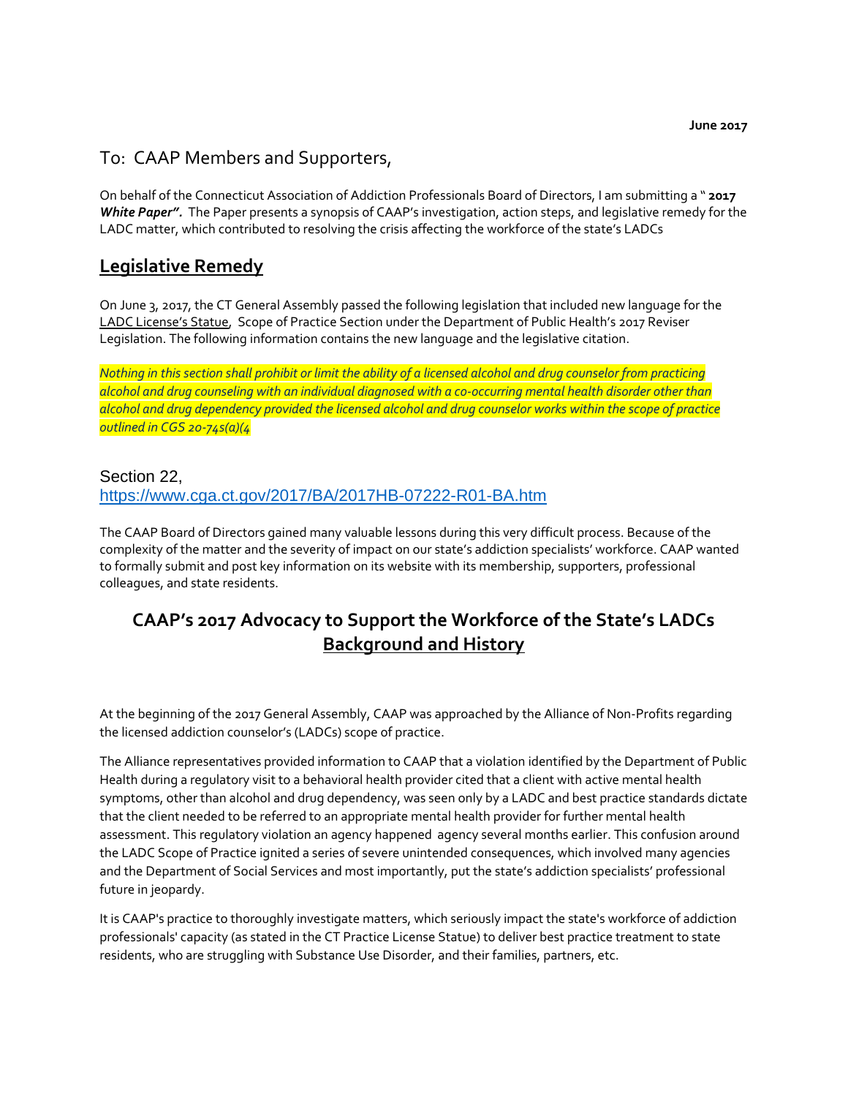### To: CAAP Members and Supporters,

On behalf of the Connecticut Association of Addiction Professionals Board of Directors, I am submitting a " **2017**  *White Paper".* The Paper presents a synopsis of CAAP's investigation, action steps, and legislative remedy for the LADC matter, which contributed to resolving the crisis affecting the workforce of the state's LADCs

### **Legislative Remedy**

On June 3, 2017, the CT General Assembly passed the following legislation that included new language for the LADC License's Statue, Scope of Practice Section under the Department of Public Health's 2017 Reviser Legislation. The following information contains the new language and the legislative citation.

*Nothing in this section shall prohibit or limit the ability of a licensed alcohol and drug counselor from practicing alcohol and drug counseling with an individual diagnosed with a co-occurring mental health disorder other than alcohol and drug dependency provided the licensed alcohol and drug counselor works within the scope of practice outlined in CGS 20-74s(a)(4*

### Section 22,

### <https://www.cga.ct.gov/2017/BA/2017HB-07222-R01-BA.htm>

The CAAP Board of Directors gained many valuable lessons during this very difficult process. Because of the complexity of the matter and the severity of impact on our state's addiction specialists' workforce. CAAP wanted to formally submit and post key information on its website with its membership, supporters, professional colleagues, and state residents.

### **CAAP's 2017 Advocacy to Support the Workforce of the State's LADCs Background and History**

At the beginning of the 2017 General Assembly, CAAP was approached by the Alliance of Non-Profits regarding the licensed addiction counselor's (LADCs) scope of practice.

The Alliance representatives provided information to CAAP that a violation identified by the Department of Public Health during a regulatory visit to a behavioral health provider cited that a client with active mental health symptoms, other than alcohol and drug dependency, was seen only by a LADC and best practice standards dictate that the client needed to be referred to an appropriate mental health provider for further mental health assessment. This regulatory violation an agency happened agency several months earlier. This confusion around the LADC Scope of Practice ignited a series of severe unintended consequences, which involved many agencies and the Department of Social Services and most importantly, put the state's addiction specialists' professional future in jeopardy.

It is CAAP's practice to thoroughly investigate matters, which seriously impact the state's workforce of addiction professionals' capacity (as stated in the CT Practice License Statue) to deliver best practice treatment to state residents, who are struggling with Substance Use Disorder, and their families, partners, etc.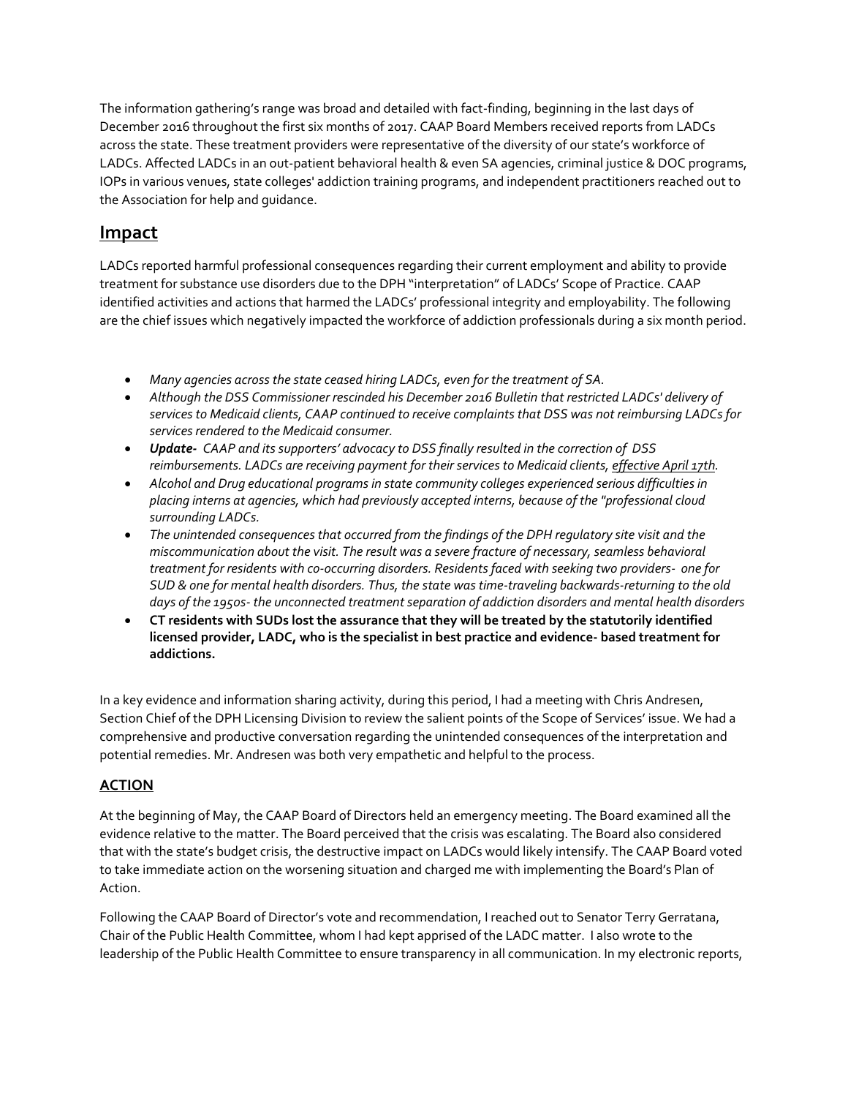The information gathering's range was broad and detailed with fact-finding, beginning in the last days of December 2016 throughout the first six months of 2017. CAAP Board Members received reports from LADCs across the state. These treatment providers were representative of the diversity of our state's workforce of LADCs. Affected LADCs in an out-patient behavioral health & even SA agencies, criminal justice & DOC programs, IOPs in various venues, state colleges' addiction training programs, and independent practitioners reached out to the Association for help and guidance.

### **Impact**

LADCs reported harmful professional consequences regarding their current employment and ability to provide treatment for substance use disorders due to the DPH "interpretation" of LADCs' Scope of Practice. CAAP identified activities and actions that harmed the LADCs' professional integrity and employability. The following are the chief issues which negatively impacted the workforce of addiction professionals during a six month period.

- *Many agencies across the state ceased hiring LADCs, even for the treatment of SA.*
- *Although the DSS Commissioner rescinded his December 2016 Bulletin that restricted LADCs' delivery of services to Medicaid clients, CAAP continued to receive complaints that DSS was not reimbursing LADCs for services rendered to the Medicaid consumer.*
- *Update- CAAP and its supporters' advocacy to DSS finally resulted in the correction of DSS reimbursements. LADCs are receiving payment for their services to Medicaid clients, effective April 17th.*
- *Alcohol and Drug educational programs in state community colleges experienced serious difficulties in placing interns at agencies, which had previously accepted interns, because of the "professional cloud surrounding LADCs.*
- *The unintended consequences that occurred from the findings of the DPH regulatory site visit and the miscommunication about the visit. The result was a severe fracture of necessary, seamless behavioral treatment for residents with co-occurring disorders. Residents faced with seeking two providers- one for SUD & one for mental health disorders. Thus, the state was time-traveling backwards-returning to the old days of the 1950s- the unconnected treatment separation of addiction disorders and mental health disorders*
- **CT residents with SUDs lost the assurance that they will be treated by the statutorily identified licensed provider, LADC, who is the specialist in best practice and evidence- based treatment for addictions.**

In a key evidence and information sharing activity, during this period, I had a meeting with Chris Andresen, Section Chief of the DPH Licensing Division to review the salient points of the Scope of Services' issue. We had a comprehensive and productive conversation regarding the unintended consequences of the interpretation and potential remedies. Mr. Andresen was both very empathetic and helpful to the process.

### **ACTION**

At the beginning of May, the CAAP Board of Directors held an emergency meeting. The Board examined all the evidence relative to the matter. The Board perceived that the crisis was escalating. The Board also considered that with the state's budget crisis, the destructive impact on LADCs would likely intensify. The CAAP Board voted to take immediate action on the worsening situation and charged me with implementing the Board's Plan of Action.

Following the CAAP Board of Director's vote and recommendation, I reached out to Senator Terry Gerratana, Chair of the Public Health Committee, whom I had kept apprised of the LADC matter. I also wrote to the leadership of the Public Health Committee to ensure transparency in all communication. In my electronic reports,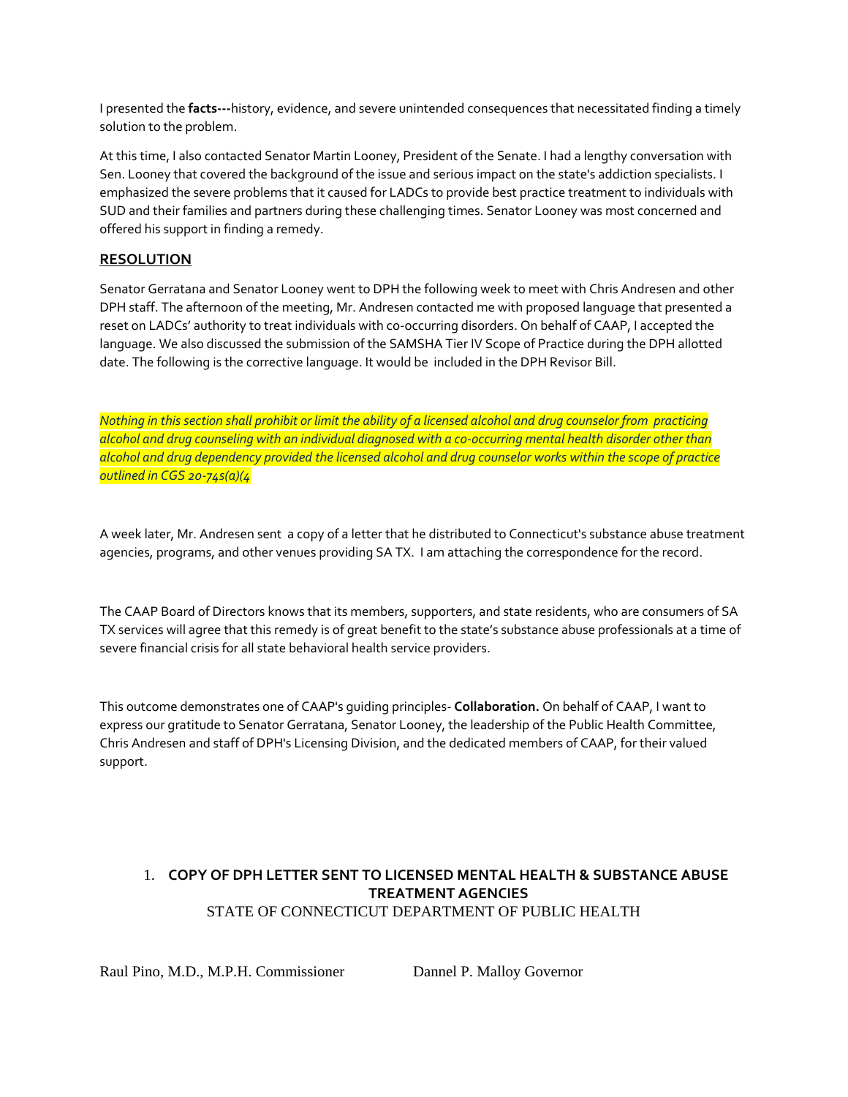I presented the **facts---**history, evidence, and severe unintended consequences that necessitated finding a timely solution to the problem.

At this time, I also contacted Senator Martin Looney, President of the Senate. I had a lengthy conversation with Sen. Looney that covered the background of the issue and serious impact on the state's addiction specialists. I emphasized the severe problems that it caused for LADCs to provide best practice treatment to individuals with SUD and their families and partners during these challenging times. Senator Looney was most concerned and offered his support in finding a remedy.

### **RESOLUTION**

Senator Gerratana and Senator Looney went to DPH the following week to meet with Chris Andresen and other DPH staff. The afternoon of the meeting, Mr. Andresen contacted me with proposed language that presented a reset on LADCs' authority to treat individuals with co-occurring disorders. On behalf of CAAP, I accepted the language. We also discussed the submission of the SAMSHA Tier IV Scope of Practice during the DPH allotted date. The following is the corrective language. It would be included in the DPH Revisor Bill.

*Nothing in this section shall prohibit or limit the ability of a licensed alcohol and drug counselor from practicing alcohol and drug counseling with an individual diagnosed with a co-occurring mental health disorder other than alcohol and drug dependency provided the licensed alcohol and drug counselor works within the scope of practice outlined in CGS 20-74s(a)(4*

A week later, Mr. Andresen sent a copy of a letter that he distributed to Connecticut's substance abuse treatment agencies, programs, and other venues providing SA TX. I am attaching the correspondence for the record.

The CAAP Board of Directors knows that its members, supporters, and state residents, who are consumers of SA TX services will agree that this remedy is of great benefit to the state's substance abuse professionals at a time of severe financial crisis for all state behavioral health service providers.

This outcome demonstrates one of CAAP's guiding principles- **Collaboration.** On behalf of CAAP, I want to express our gratitude to Senator Gerratana, Senator Looney, the leadership of the Public Health Committee, Chris Andresen and staff of DPH's Licensing Division, and the dedicated members of CAAP, for their valued support.

### 1. **COPY OF DPH LETTER SENT TO LICENSED MENTAL HEALTH & SUBSTANCE ABUSE TREATMENT AGENCIES**  STATE OF CONNECTICUT DEPARTMENT OF PUBLIC HEALTH

Raul Pino, M.D., M.P.H. Commissioner Dannel P. Malloy Governor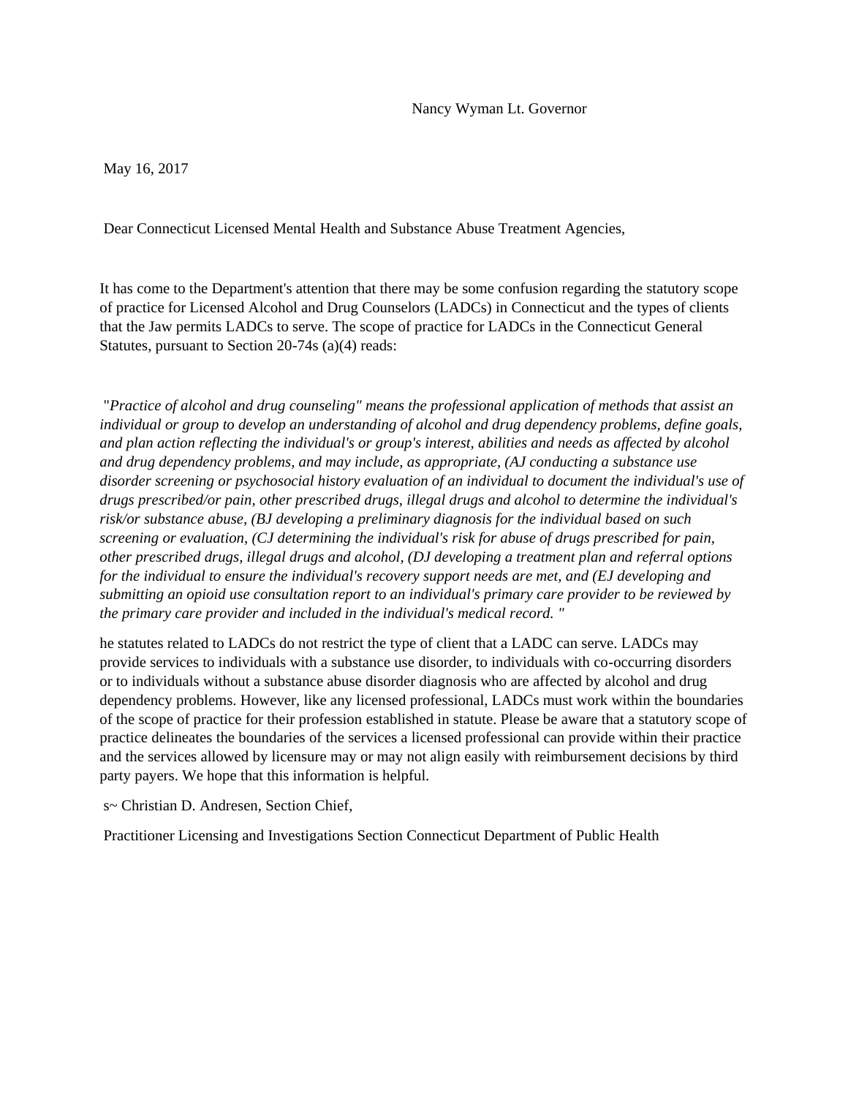May 16, 2017

Dear Connecticut Licensed Mental Health and Substance Abuse Treatment Agencies,

It has come to the Department's attention that there may be some confusion regarding the statutory scope of practice for Licensed Alcohol and Drug Counselors (LADCs) in Connecticut and the types of clients that the Jaw permits LADCs to serve. The scope of practice for LADCs in the Connecticut General Statutes, pursuant to Section 20-74s (a)(4) reads:

"*Practice of alcohol and drug counseling" means the professional application of methods that assist an individual or group to develop an understanding of alcohol and drug dependency problems, define goals, and plan action reflecting the individual's or group's interest, abilities and needs as affected by alcohol and drug dependency problems, and may include, as appropriate, (AJ conducting a substance use disorder screening or psychosocial history evaluation of an individual to document the individual's use of drugs prescribed/or pain, other prescribed drugs, illegal drugs and alcohol to determine the individual's risk/or substance abuse, (BJ developing a preliminary diagnosis for the individual based on such screening or evaluation, (CJ determining the individual's risk for abuse of drugs prescribed for pain, other prescribed drugs, illegal drugs and alcohol, (DJ developing a treatment plan and referral options for the individual to ensure the individual's recovery support needs are met, and (EJ developing and submitting an opioid use consultation report to an individual's primary care provider to be reviewed by the primary care provider and included in the individual's medical record. "*

he statutes related to LADCs do not restrict the type of client that a LADC can serve. LADCs may provide services to individuals with a substance use disorder, to individuals with co-occurring disorders or to individuals without a substance abuse disorder diagnosis who are affected by alcohol and drug dependency problems. However, like any licensed professional, LADCs must work within the boundaries of the scope of practice for their profession established in statute. Please be aware that a statutory scope of practice delineates the boundaries of the services a licensed professional can provide within their practice and the services allowed by licensure may or may not align easily with reimbursement decisions by third party payers. We hope that this information is helpful.

s~ Christian D. Andresen, Section Chief,

Practitioner Licensing and Investigations Section Connecticut Department of Public Health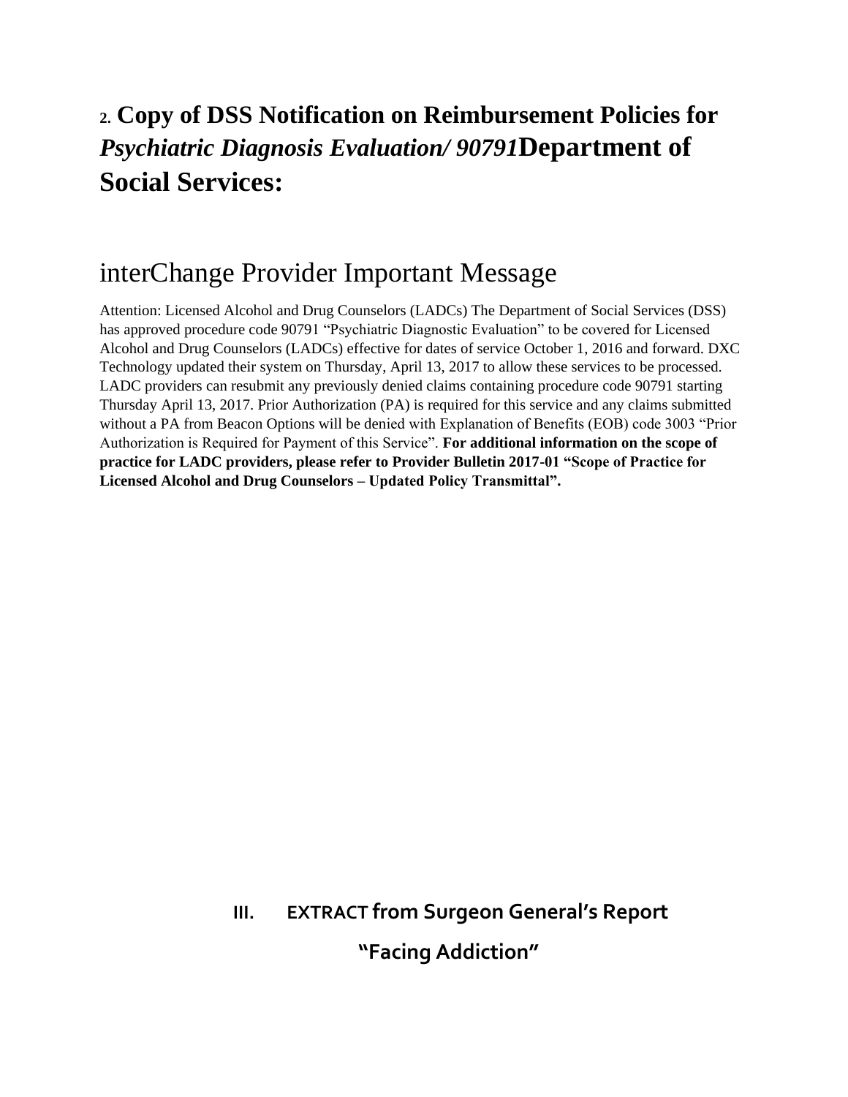## **2. Copy of DSS Notification on Reimbursement Policies for**  *Psychiatric Diagnosis Evaluation/ 90791***Department of Social Services:**

## interChange Provider Important Message

Attention: Licensed Alcohol and Drug Counselors (LADCs) The Department of Social Services (DSS) has approved procedure code 90791 "Psychiatric Diagnostic Evaluation" to be covered for Licensed Alcohol and Drug Counselors (LADCs) effective for dates of service October 1, 2016 and forward. DXC Technology updated their system on Thursday, April 13, 2017 to allow these services to be processed. LADC providers can resubmit any previously denied claims containing procedure code 90791 starting Thursday April 13, 2017. Prior Authorization (PA) is required for this service and any claims submitted without a PA from Beacon Options will be denied with Explanation of Benefits (EOB) code 3003 "Prior Authorization is Required for Payment of this Service". **For additional information on the scope of practice for LADC providers, please refer to Provider Bulletin 2017-01 "Scope of Practice for Licensed Alcohol and Drug Counselors – Updated Policy Transmittal".**

# **III. EXTRACT from Surgeon General's Report "Facing Addiction"**